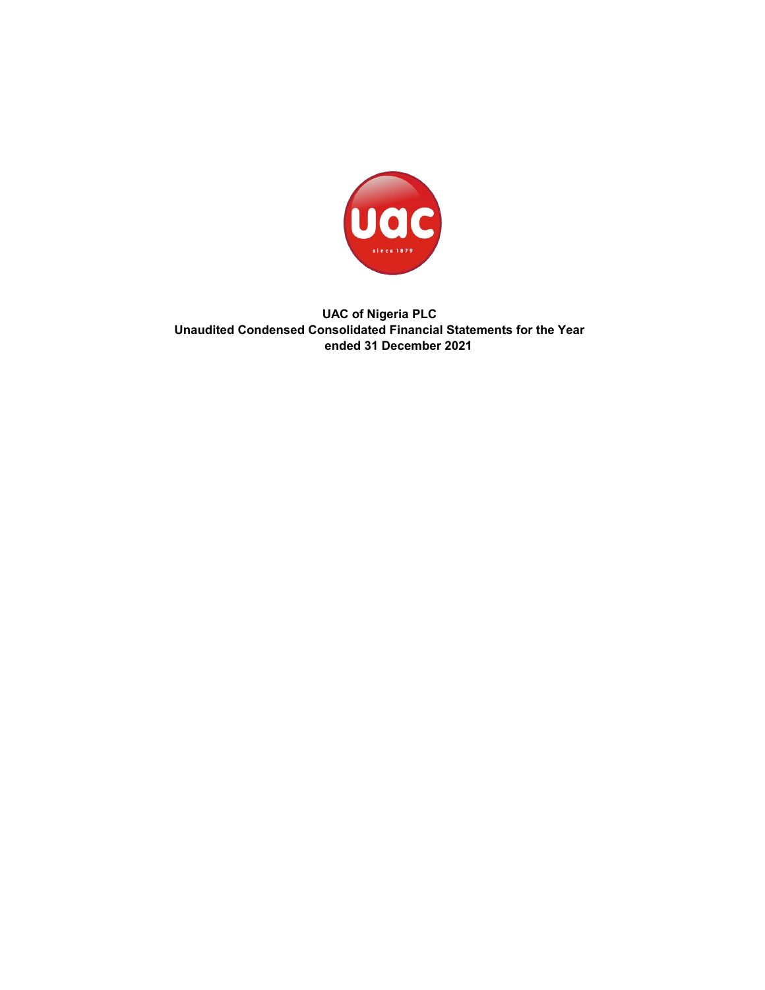

# **UAC of Nigeria PLC Unaudited Condensed Consolidated Financial Statements for the Year ended 31 December 2021**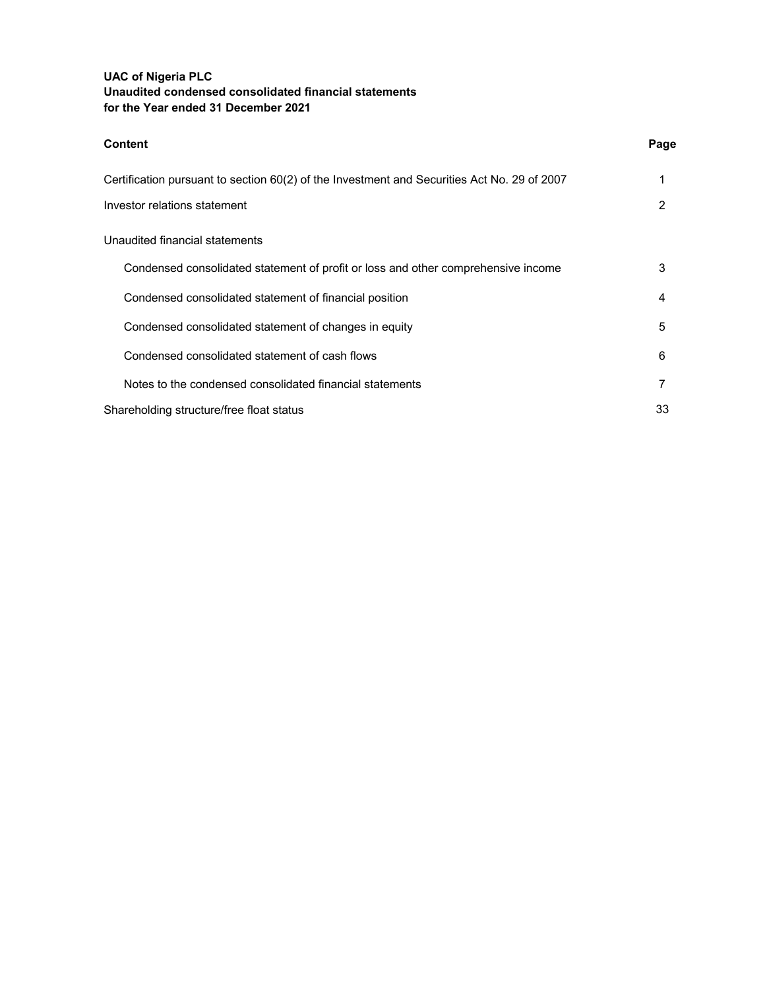| <b>Content</b>                                                                              | Page |
|---------------------------------------------------------------------------------------------|------|
| Certification pursuant to section 60(2) of the Investment and Securities Act No. 29 of 2007 |      |
| Investor relations statement                                                                | 2    |
| Unaudited financial statements                                                              |      |
| Condensed consolidated statement of profit or loss and other comprehensive income           | 3    |
| Condensed consolidated statement of financial position                                      | 4    |
| Condensed consolidated statement of changes in equity                                       | 5    |
| Condensed consolidated statement of cash flows                                              | 6    |
| Notes to the condensed consolidated financial statements                                    | 7    |
| Shareholding structure/free float status                                                    | 33   |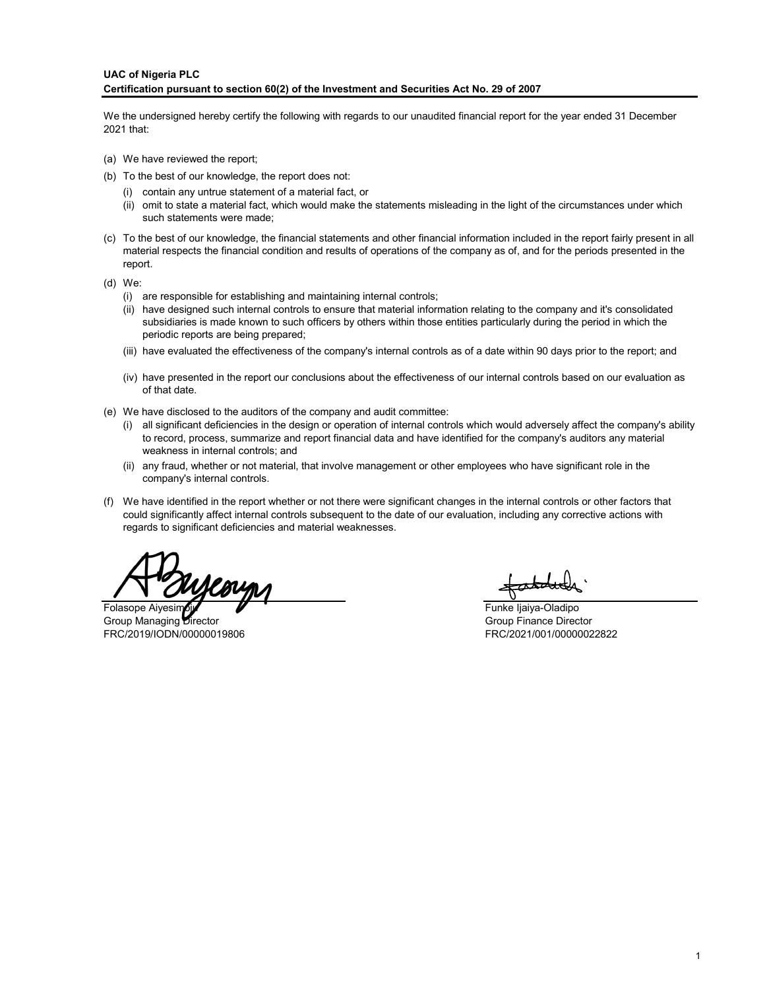We the undersigned hereby certify the following with regards to our unaudited financial report for the year ended 31 December 2021 that:

- (a) We have reviewed the report;
- (b) To the best of our knowledge, the report does not:
	- (i) contain any untrue statement of a material fact, or
	- (ii) omit to state a material fact, which would make the statements misleading in the light of the circumstances under which such statements were made;
- (c) To the best of our knowledge, the financial statements and other financial information included in the report fairly present in all material respects the financial condition and results of operations of the company as of, and for the periods presented in the report.
- (d) We:
	- (i) are responsible for establishing and maintaining internal controls;
	- (ii) have designed such internal controls to ensure that material information relating to the company and it's consolidated subsidiaries is made known to such officers by others within those entities particularly during the period in which the periodic reports are being prepared;
	- (iii) have evaluated the effectiveness of the company's internal controls as of a date within 90 days prior to the report; and
	- (iv) have presented in the report our conclusions about the effectiveness of our internal controls based on our evaluation as of that date.
- (e) We have disclosed to the auditors of the company and audit committee:
	- (i) all significant deficiencies in the design or operation of internal controls which would adversely affect the company's ability to record, process, summarize and report financial data and have identified for the company's auditors any material weakness in internal controls; and
	- (ii) any fraud, whether or not material, that involve management or other employees who have significant role in the company's internal controls.
- (f) We have identified in the report whether or not there were significant changes in the internal controls or other factors that could significantly affect internal controls subsequent to the date of our evaluation, including any corrective actions with regards to significant deficiencies and material weaknesses.

Folasope Aiyesim**oiy Funke Ivan Aircredit Contract Contract Contract Contract Contract Contract Contract Contract Contract Contract Contract Contract Contract Contract Contract Contract Contract Contract Contract Contrac** Group Managing Director Group Annual Communication Croup Finance Director Group Finance Director FRC/2019/IODN/00000019806 FRC/2021/001/00000022822

fatdule.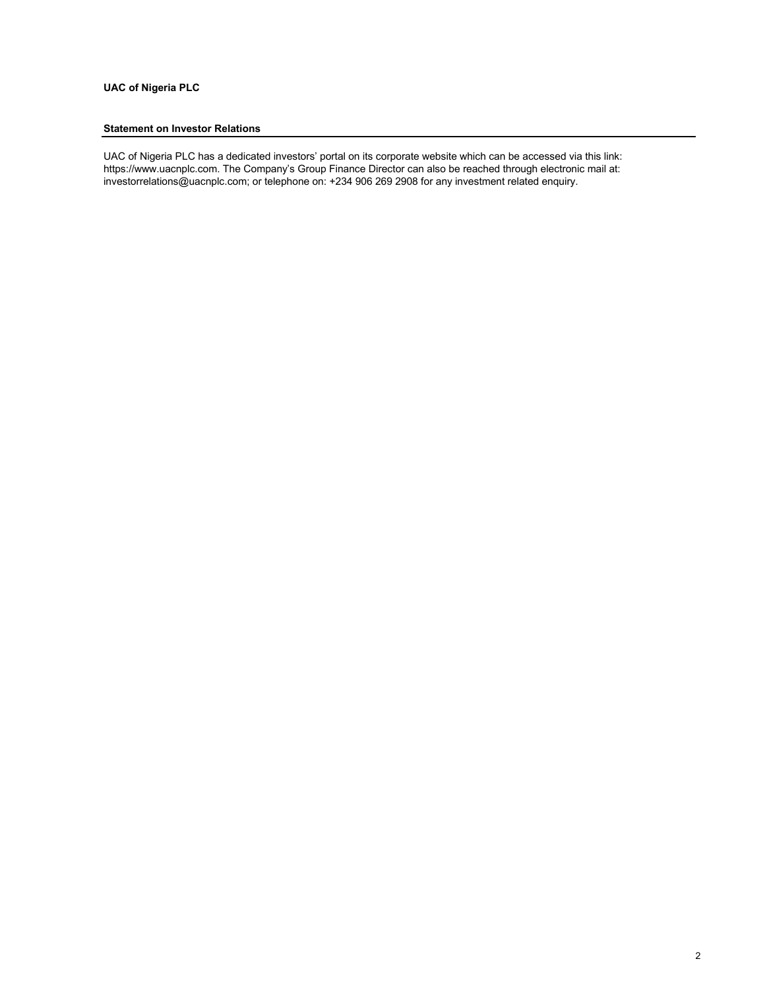# **UAC of Nigeria PLC**

#### **Statement on Investor Relations**

UAC of Nigeria PLC has a dedicated investors' portal on its corporate website which can be accessed via this link: https://www.uacnplc.com. The Company's Group Finance Director can also be reached through electronic mail at: investorrelations@uacnplc.com; or telephone on: +234 906 269 2908 for any investment related enquiry.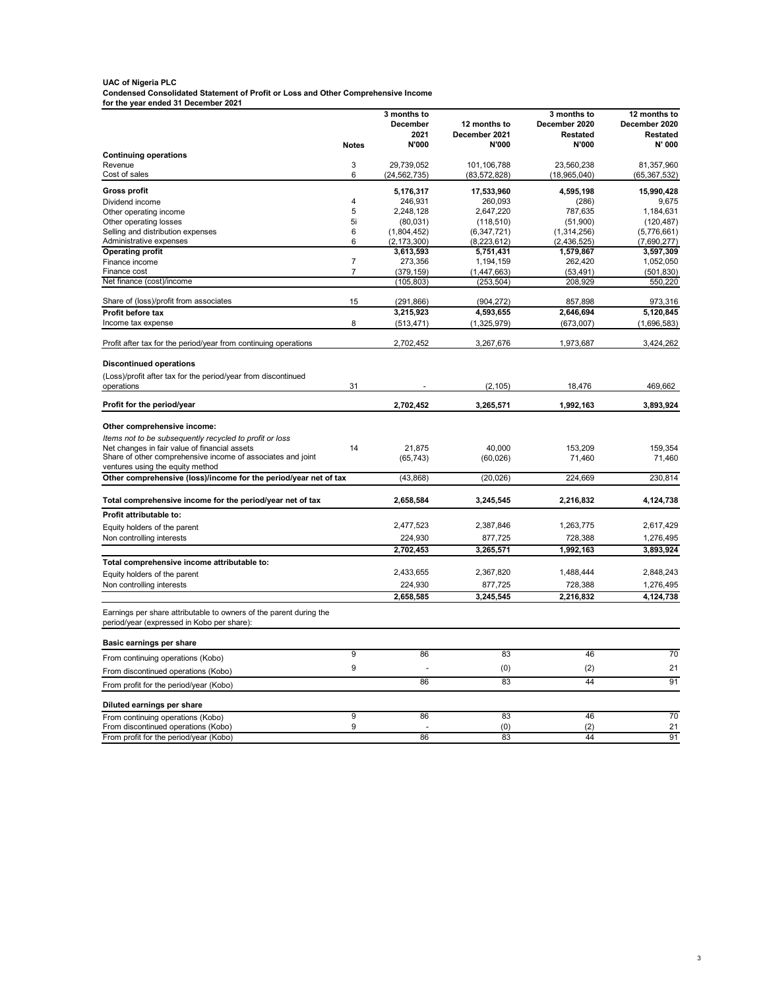# **UAC of Nigeria PLC Condensed Consolidated Statement of Profit or Loss and Other Comprehensive Income for the year ended 31 December 2021**

|                                                                                                                  |                | 3 months to                  |                               | 3 months to                | 12 months to                 |
|------------------------------------------------------------------------------------------------------------------|----------------|------------------------------|-------------------------------|----------------------------|------------------------------|
|                                                                                                                  |                | <b>December</b>              | 12 months to                  | December 2020              | December 2020                |
|                                                                                                                  |                | 2021                         | December 2021                 | <b>Restated</b>            | <b>Restated</b>              |
|                                                                                                                  | <b>Notes</b>   | <b>N'000</b>                 | <b>N'000</b>                  | <b>N'000</b>               | <b>N' 000</b>                |
| <b>Continuing operations</b>                                                                                     |                |                              |                               |                            |                              |
| Revenue<br>Cost of sales                                                                                         | 3<br>6         | 29,739,052<br>(24, 562, 735) | 101,106,788<br>(83, 572, 828) | 23,560,238<br>(18,965,040) | 81,357,960<br>(65, 367, 532) |
|                                                                                                                  |                |                              |                               |                            |                              |
| <b>Gross profit</b>                                                                                              |                | 5,176,317                    | 17,533,960                    | 4,595,198                  | 15,990,428                   |
| Dividend income                                                                                                  | 4              | 246,931                      | 260,093                       | (286)                      | 9,675                        |
| Other operating income                                                                                           | 5              | 2,248,128                    | 2,647,220                     | 787,635                    | 1,184,631                    |
| Other operating losses                                                                                           | 5i             | (80, 031)                    | (118, 510)                    | (51,900)                   | (120, 487)                   |
| Selling and distribution expenses<br>Administrative expenses                                                     | 6<br>6         | (1,804,452)<br>(2, 173, 300) | (6,347,721)<br>(8,223,612)    | (1,314,256)<br>(2,436,525) | (5,776,661)<br>(7,690,277)   |
| <b>Operating profit</b>                                                                                          |                | 3,613,593                    | 5,751,431                     | 1,579,867                  | 3,597,309                    |
| Finance income                                                                                                   | $\overline{7}$ | 273,356                      | 1,194,159                     | 262,420                    | 1,052,050                    |
| Finance cost                                                                                                     | 7              | (379, 159)                   | (1, 447, 663)                 | (53, 491)                  | (501, 830)                   |
| Net finance (cost)/income                                                                                        |                | (105, 803)                   | (253, 504)                    | 208,929                    | 550,220                      |
|                                                                                                                  |                |                              |                               |                            |                              |
| Share of (loss)/profit from associates                                                                           | 15             | (291, 866)                   | (904, 272)                    | 857,898                    | 973,316                      |
| <b>Profit before tax</b>                                                                                         |                | 3,215,923                    | 4,593,655                     | 2,646,694                  | 5,120,845                    |
| Income tax expense                                                                                               | 8              | (513, 471)                   | (1,325,979)                   | (673,007)                  | (1,696,583)                  |
|                                                                                                                  |                |                              |                               |                            |                              |
| Profit after tax for the period/year from continuing operations                                                  |                | 2,702,452                    | 3,267,676                     | 1,973,687                  | 3,424,262                    |
| <b>Discontinued operations</b>                                                                                   |                |                              |                               |                            |                              |
|                                                                                                                  |                |                              |                               |                            |                              |
| (Loss)/profit after tax for the period/year from discontinued                                                    | 31             |                              |                               | 18,476                     | 469,662                      |
| operations                                                                                                       |                |                              | (2, 105)                      |                            |                              |
| Profit for the period/year                                                                                       |                | 2,702,452                    | 3,265,571                     | 1,992,163                  | 3,893,924                    |
|                                                                                                                  |                |                              |                               |                            |                              |
| Other comprehensive income:                                                                                      |                |                              |                               |                            |                              |
| Items not to be subsequently recycled to profit or loss                                                          |                |                              |                               |                            |                              |
| Net changes in fair value of financial assets                                                                    | 14             | 21,875                       | 40,000                        | 153,209                    | 159,354                      |
| Share of other comprehensive income of associates and joint                                                      |                | (65, 743)                    | (60, 026)                     | 71,460                     | 71,460                       |
| ventures using the equity method                                                                                 |                |                              |                               |                            |                              |
| Other comprehensive (loss)/income for the period/year net of tax                                                 |                | (43, 868)                    | (20, 026)                     | 224,669                    | 230,814                      |
|                                                                                                                  |                |                              |                               |                            |                              |
| Total comprehensive income for the period/year net of tax                                                        |                | 2,658,584                    | 3,245,545                     | 2,216,832                  | 4,124,738                    |
| <b>Profit attributable to:</b>                                                                                   |                |                              |                               |                            |                              |
| Equity holders of the parent                                                                                     |                | 2,477,523                    | 2,387,846                     | 1,263,775                  | 2,617,429                    |
| Non controlling interests                                                                                        |                | 224,930                      | 877,725                       | 728,388                    | 1,276,495                    |
|                                                                                                                  |                | 2,702,453                    | 3,265,571                     | 1,992,163                  | 3,893,924                    |
| Total comprehensive income attributable to:                                                                      |                |                              |                               |                            |                              |
|                                                                                                                  |                | 2,433,655                    | 2,367,820                     | 1,488,444                  | 2,848,243                    |
| Equity holders of the parent<br>Non controlling interests                                                        |                | 224,930                      | 877,725                       | 728,388                    | 1,276,495                    |
|                                                                                                                  |                |                              |                               |                            |                              |
|                                                                                                                  |                | 2,658,585                    | 3,245,545                     | 2,216,832                  | 4,124,738                    |
| Earnings per share attributable to owners of the parent during the<br>period/year (expressed in Kobo per share): |                |                              |                               |                            |                              |
|                                                                                                                  |                |                              |                               |                            |                              |
| <b>Basic earnings per share</b>                                                                                  |                |                              |                               |                            |                              |
| From continuing operations (Kobo)                                                                                | 9              | 86                           | 83                            | 46                         | 70                           |
| From discontinued operations (Kobo)                                                                              | 9              |                              | (0)                           | (2)                        | 21                           |
|                                                                                                                  |                | 86                           | 83                            | 44                         | 91                           |
| From profit for the period/year (Kobo)                                                                           |                |                              |                               |                            |                              |
| <b>Diluted earnings per share</b>                                                                                |                |                              |                               |                            |                              |
| From continuing operations (Kobo)                                                                                | 9              | 86                           | 83                            | 46                         | 70                           |
| From discontinued operations (Kobo)                                                                              | 9              |                              | (0)                           | (2)                        | 21                           |
| From profit for the period/year (Kobo)                                                                           |                | 86                           | 83                            | 44                         | 91                           |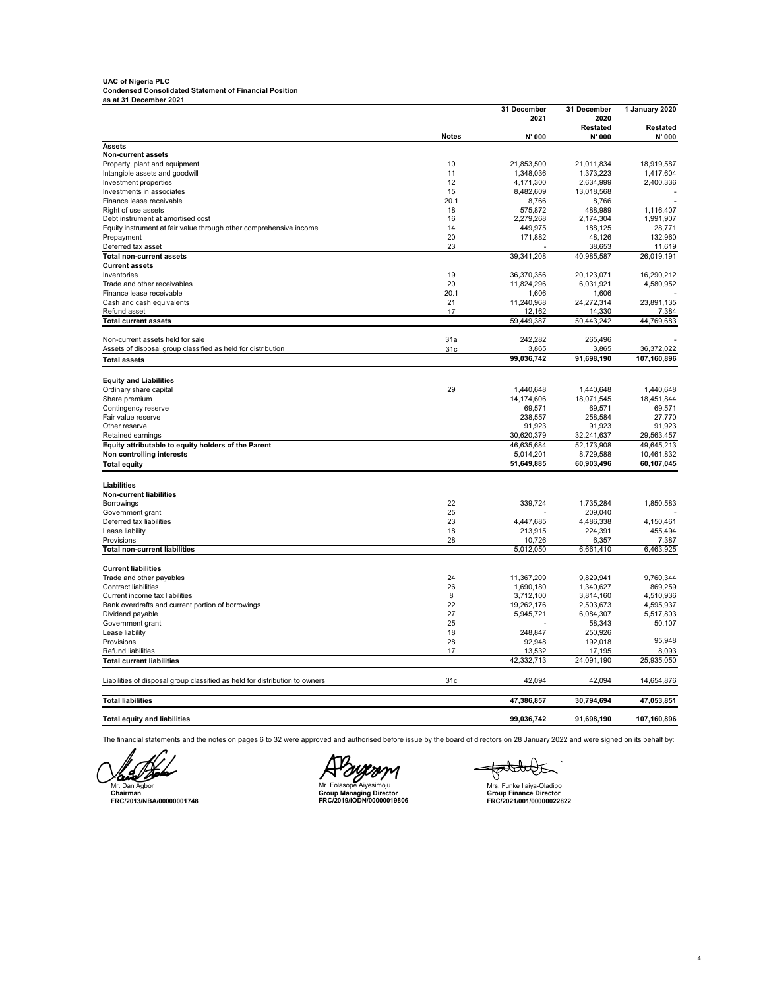# **UAC of Nigeria PLC Condensed Consolidated Statement of Financial Position as at 31 December 2021**

|                                                                    |              | 31 December  | 31 December                     | 1 January 2020                  |  |
|--------------------------------------------------------------------|--------------|--------------|---------------------------------|---------------------------------|--|
|                                                                    |              | 2021         | 2020                            |                                 |  |
|                                                                    | <b>Notes</b> | <b>N'000</b> | <b>Restated</b><br><b>N'000</b> | <b>Restated</b><br><b>N'000</b> |  |
| <b>Assets</b>                                                      |              |              |                                 |                                 |  |
| <b>Non-current assets</b>                                          |              |              |                                 |                                 |  |
| Property, plant and equipment                                      | 10           | 21,853,500   | 21,011,834                      | 18,919,587                      |  |
| Intangible assets and goodwill                                     | 11           | 1,348,036    | 1,373,223                       | 1,417,604                       |  |
| Investment properties                                              | 12           | 4,171,300    | 2,634,999                       | 2,400,336                       |  |
| Investments in associates                                          | 15           | 8,482,609    | 13,018,568                      |                                 |  |
| Finance lease receivable                                           | 20.1         | 8,766        | 8,766                           |                                 |  |
| Right of use assets                                                | 18           | 575,872      | 488,989                         | 1,116,407                       |  |
| Debt instrument at amortised cost                                  | 16           | 2,279,268    | 2,174,304                       | 1,991,907                       |  |
| Equity instrument at fair value through other comprehensive income | 14           | 449,975      | 188,125                         | 28,771                          |  |
| Prepayment                                                         | 20           | 171,882      | 48,126                          | 132,960                         |  |
| Deferred tax asset                                                 | 23           |              | 38,653                          | 11,619                          |  |
| <b>Total non-current assets</b>                                    |              | 39,341,208   | 40,985,587                      | 26,019,191                      |  |
| <b>Current assets</b>                                              |              |              |                                 |                                 |  |
| <b>Inventories</b>                                                 | 19           | 36,370,356   | 20,123,071                      | 16,290,212                      |  |
| Trade and other receivables                                        | 20           | 11,824,296   | 6,031,921                       | 4,580,952                       |  |
| Finance lease receivable                                           | 20.1         | 1,606        | 1,606                           |                                 |  |
| Cash and cash equivalents                                          | 21           | 11,240,968   | 24,272,314                      | 23,891,135                      |  |
| Refund asset                                                       | 17           | 12,162       | 14,330                          | 7,384                           |  |
| <b>Total current assets</b>                                        |              | 59,449,387   | 50,443,242                      | 44,769,683                      |  |
| Non-current assets held for sale                                   | 31a          | 242,282      | 265,496                         |                                 |  |
| Assets of disposal group classified as held for distribution       | 31c          | 3,865        | 3,865                           | 36,372,022                      |  |
| <b>Total assets</b>                                                |              | 99,036,742   | 91,698,190                      | 107,160,896                     |  |
|                                                                    |              |              |                                 |                                 |  |
| <b>Equity and Liabilities</b><br>Ordinary share capital            | 29           | 1,440,648    | 1,440,648                       | 1,440,648                       |  |
| Share premium                                                      |              | 14,174,606   | 18,071,545                      | 18,451,844                      |  |
| Contingency reserve                                                |              | 69,571       | 69,571                          | 69,571                          |  |
| Fair value reserve                                                 |              | 238,557      | 258,584                         | 27,770                          |  |
| Other reserve                                                      |              | 91,923       | 91,923                          | 91,923                          |  |
| Retained earnings                                                  |              | 30,620,379   | 32,241,637                      | 29,563,457                      |  |
| Equity attributable to equity holders of the Parent                |              | 46,635,684   | 52,173,908                      | 49,645,213                      |  |
| Non controlling interests                                          |              | 5,014,201    | 8,729,588                       | 10,461,832                      |  |
|                                                                    |              | 51,649,885   | 60,903,496                      | 60,107,045                      |  |
| <b>Total equity</b>                                                |              |              |                                 |                                 |  |
| <b>Liabilities</b>                                                 |              |              |                                 |                                 |  |
| <b>Non-current liabilities</b>                                     |              |              |                                 |                                 |  |
| <b>Borrowings</b>                                                  | 22           | 339,724      | 1,735,284                       | 1,850,583                       |  |
| Government grant                                                   | 25           |              | 209,040                         |                                 |  |

| <b>Total equity and liabilities</b>                                         |     | 99,036,742 | 91,698,190 | 107,160,896 |
|-----------------------------------------------------------------------------|-----|------------|------------|-------------|
| <b>Total liabilities</b>                                                    |     | 47,386,857 | 30,794,694 | 47,053,851  |
| Liabilities of disposal group classified as held for distribution to owners | 31c | 42,094     | 42,094     | 14,654,876  |
| <b>Total current liabilities</b>                                            |     | 42,332,713 | 24,091,190 | 25,935,050  |
| <b>Refund liabilities</b>                                                   | 17  | 13,532     | 17,195     | 8,093       |
| <b>Provisions</b>                                                           | 28  | 92,948     | 192,018    | 95,948      |
| Lease liability                                                             | 18  | 248,847    | 250,926    |             |
| Government grant                                                            | 25  |            | 58,343     | 50,107      |
| Dividend payable                                                            | 27  | 5,945,721  | 6,084,307  | 5,517,803   |
| Bank overdrafts and current portion of borrowings                           | 22  | 19,262,176 | 2,503,673  | 4,595,937   |
| Current income tax liabilities                                              | 8   | 3,712,100  | 3,814,160  | 4,510,936   |
| <b>Contract liabilities</b>                                                 | 26  | 1,690,180  | 1,340,627  | 869,259     |
| Trade and other payables                                                    | 24  | 11,367,209 | 9,829,941  | 9,760,344   |
| <b>Current liabilities</b>                                                  |     |            |            |             |
| <b>Total non-current liabilities</b>                                        |     | 5,012,050  | 6,661,410  | 6,463,925   |
| Provisions                                                                  | 28  | 10,726     | 6,357      | 7,387       |
| Lease liability                                                             | 18  | 213,915    | 224,391    | 455,494     |
| Deferred tax liabilities                                                    | 23  | 4,447,685  | 4,486,338  | 4,150,461   |
| Government grant                                                            | 25  |            | 209,040    |             |
| <b>Borrowings</b>                                                           | 22  | 339,724    | 1,735,284  | 1,850,583   |

The financial statements and the notes on pages 6 to 32 were approved and authorised before issue by the board of directors on 28 January 2022 and were signed on its behalf by:

 $\boldsymbol{O}$ 

Mr. Dan Agbor **Chairman FRC/2013/NBA/00000001748**

M

Mr. Folasope Aiyesimoju **Group Managing Director FRC/2019/IODN/00000019806**

fatales.

Mrs. Funke Ijaiya-Oladipo **Group Finance Director FRC/2021/001/00000022822**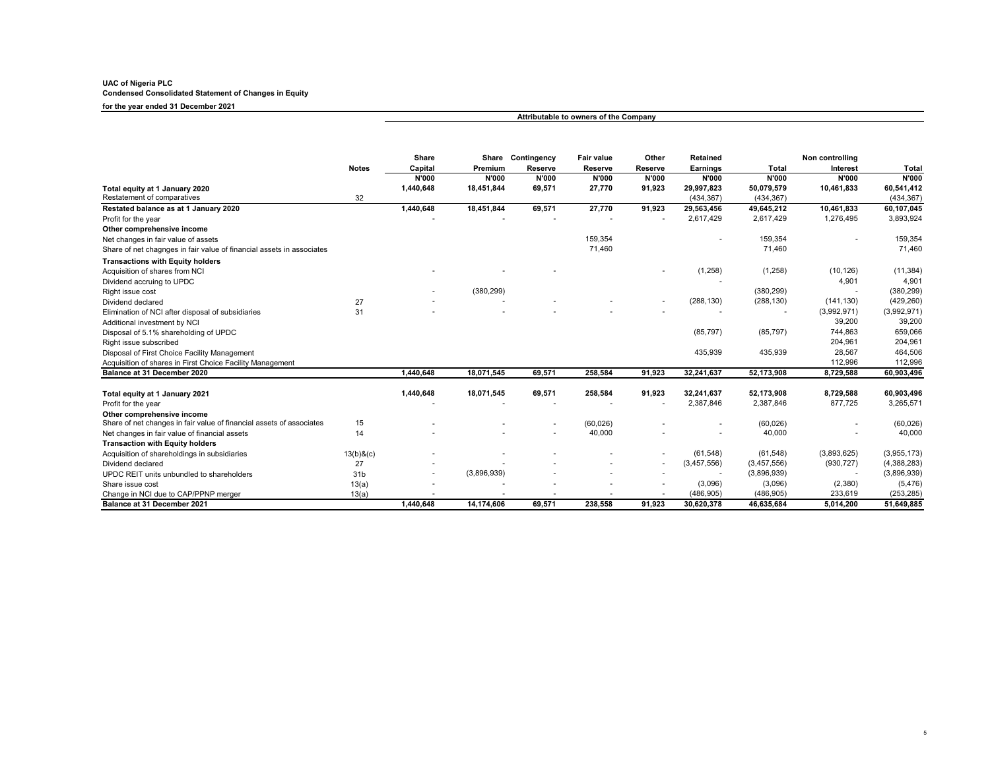|                                                                       |                 | <b>Share</b>             | <b>Share</b>   | <b>Contingency</b> | <b>Fair value</b> | <b>Other</b>             | <b>Retained</b>          |              | <b>Non controlling</b> |              |
|-----------------------------------------------------------------------|-----------------|--------------------------|----------------|--------------------|-------------------|--------------------------|--------------------------|--------------|------------------------|--------------|
|                                                                       | <b>Notes</b>    | <b>Capital</b>           | <b>Premium</b> | <b>Reserve</b>     | <b>Reserve</b>    | <b>Reserve</b>           | <b>Earnings</b>          | <b>Total</b> | <b>Interest</b>        | <b>Total</b> |
|                                                                       |                 | <b>N'000</b>             | <b>N'000</b>   | <b>N'000</b>       | <b>N'000</b>      | <b>N'000</b>             | <b>N'000</b>             | <b>N'000</b> | <b>N'000</b>           | <b>N'000</b> |
| Total equity at 1 January 2020                                        |                 | 1,440,648                | 18,451,844     | 69,571             | 27,770            | 91,923                   | 29,997,823               | 50,079,579   | 10,461,833             | 60,541,412   |
| Restatement of comparatives                                           | 32              |                          |                |                    |                   |                          | (434, 367)               | (434, 367)   |                        | (434, 367)   |
| Restated balance as at 1 January 2020                                 |                 | 1,440,648                | 18,451,844     | 69,571             | 27,770            | 91,923                   | 29,563,456               | 49,645,212   | 10,461,833             | 60,107,045   |
| Profit for the year                                                   |                 |                          |                |                    |                   |                          | 2,617,429                | 2,617,429    | 1,276,495              | 3,893,924    |
| Other comprehensive income                                            |                 |                          |                |                    |                   |                          |                          |              |                        |              |
| Net changes in fair value of assets                                   |                 |                          |                |                    | 159,354           |                          |                          | 159,354      |                        | 159,354      |
| Share of net chagnges in fair value of financial assets in associates |                 |                          |                |                    | 71,460            |                          |                          | 71,460       |                        | 71,460       |
| <b>Transactions with Equity holders</b>                               |                 |                          |                |                    |                   |                          |                          |              |                        |              |
| Acquisition of shares from NCI                                        |                 |                          |                |                    |                   |                          | (1, 258)                 | (1, 258)     | (10, 126)              | (11, 384)    |
| Dividend accruing to UPDC                                             |                 |                          |                |                    |                   |                          |                          |              | 4,901                  | 4,901        |
| Right issue cost                                                      |                 | $\overline{\phantom{a}}$ | (380, 299)     |                    |                   |                          |                          | (380, 299)   |                        | (380, 299)   |
| Dividend declared                                                     | 27              | $\overline{\phantom{a}}$ |                |                    |                   | $\overline{\phantom{0}}$ | (288, 130)               | (288, 130)   | (141, 130)             | (429, 260)   |
| Elimination of NCI after disposal of subsidiaries                     | 31              |                          |                |                    |                   |                          |                          |              | (3,992,971)            | (3,992,971)  |
| Additional investment by NCI                                          |                 |                          |                |                    |                   |                          |                          |              | 39,200                 | 39,200       |
| Disposal of 5.1% shareholding of UPDC                                 |                 |                          |                |                    |                   |                          | (85, 797)                | (85, 797)    | 744,863                | 659,066      |
| Right issue subscribed                                                |                 |                          |                |                    |                   |                          |                          |              | 204,961                | 204,961      |
| Disposal of First Choice Facility Management                          |                 |                          |                |                    |                   |                          | 435,939                  | 435,939      | 28,567                 | 464,506      |
| Acquisition of shares in First Choice Facility Management             |                 |                          |                |                    |                   |                          |                          |              | 112,996                | 112,996      |
| <b>Balance at 31 December 2020</b>                                    |                 | 1,440,648                | 18,071,545     | 69,571             | 258,584           | 91,923                   | 32,241,637               | 52,173,908   | 8,729,588              | 60,903,496   |
| <b>Total equity at 1 January 2021</b>                                 |                 | 1,440,648                | 18,071,545     | 69,571             | 258,584           | 91,923                   | 32,241,637               | 52,173,908   | 8,729,588              | 60,903,496   |
| Profit for the year                                                   |                 |                          |                |                    |                   |                          | 2,387,846                | 2,387,846    | 877,725                | 3,265,571    |
| Other comprehensive income                                            |                 |                          |                |                    |                   |                          |                          |              |                        |              |
| Share of net changes in fair value of financial assets of associates  | 15              |                          |                |                    | (60, 026)         |                          |                          | (60, 026)    |                        | (60, 026)    |
| Net changes in fair value of financial assets                         | 14              |                          |                |                    | 40,000            |                          |                          | 40,000       |                        | 40,000       |
| <b>Transaction with Equity holders</b>                                |                 |                          |                |                    |                   |                          |                          |              |                        |              |
| Acquisition of shareholdings in subsidiaries                          | 13(b)8(c)       |                          |                |                    |                   |                          | (61, 548)                | (61, 548)    | (3,893,625)            | (3,955,173)  |
| Dividend declared                                                     | 27              |                          |                |                    |                   |                          | (3,457,556)              | (3,457,556)  | (930, 727)             | (4,388,283)  |
| UPDC REIT units unbundled to shareholders                             | 31 <sub>b</sub> | $\overline{\phantom{a}}$ | (3,896,939)    |                    |                   |                          | $\overline{\phantom{a}}$ | (3,896,939)  |                        | (3,896,939)  |
| Share issue cost                                                      | 13(a)           |                          |                |                    |                   |                          | (3,096)                  | (3,096)      | (2,380)                | (5, 476)     |
| Change in NCI due to CAP/PPNP merger                                  | 13(a)           |                          |                |                    |                   |                          | (486, 905)               | (486, 905)   | 233,619                | (253, 285)   |
| <b>Balance at 31 December 2021</b>                                    |                 | 1,440,648                | 14,174,606     | 69,571             | 238,558           | 91,923                   | 30,620,378               | 46,635,684   | 5,014,200              | 51,649,885   |

# **Attributable to owners of the Company**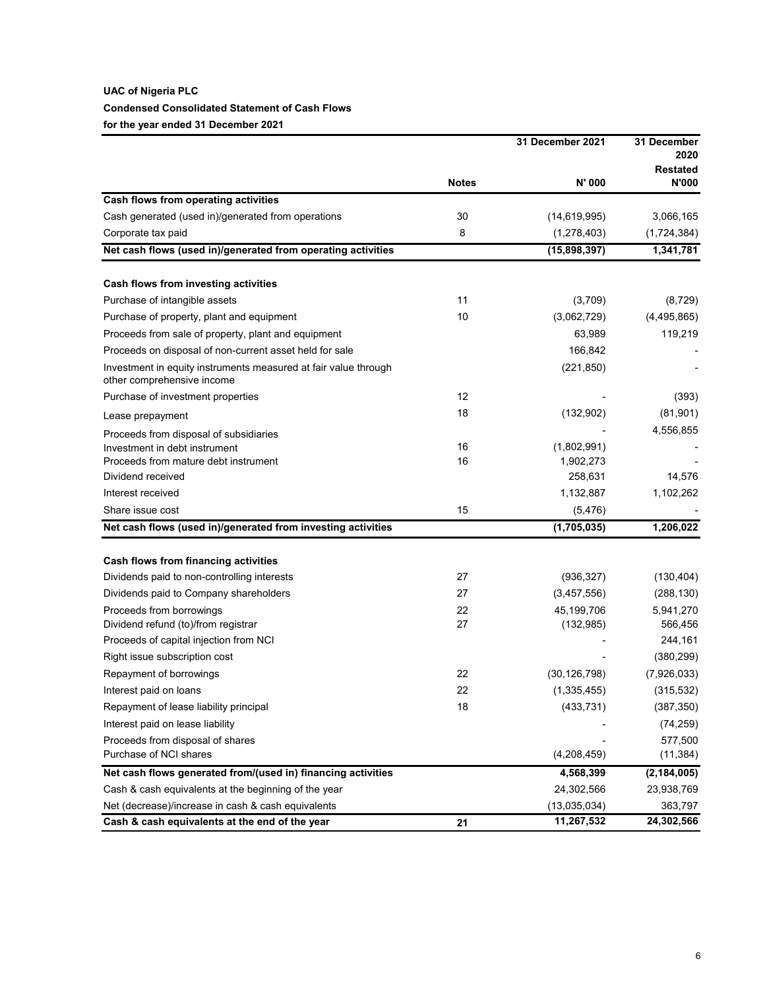# **UAC of Nigeria PLC Condensed Consolidated Statement of Cash Flows for the year ended 31 December 2021**

|                                                                                               |              | <b>31 December 2021</b> | 31 December<br>2020             |
|-----------------------------------------------------------------------------------------------|--------------|-------------------------|---------------------------------|
|                                                                                               | <b>Notes</b> | N' 000                  | <b>Restated</b><br><b>N'000</b> |
| <b>Cash flows from operating activities</b>                                                   |              |                         |                                 |
| Cash generated (used in)/generated from operations                                            | 30           | (14, 619, 995)          | 3,066,165                       |
| Corporate tax paid                                                                            | 8            | (1,278,403)             | (1,724,384)                     |
| Net cash flows (used in)/generated from operating activities                                  |              | (15,898,397)            | 1,341,781                       |
| <b>Cash flows from investing activities</b>                                                   |              |                         |                                 |
| Purchase of intangible assets                                                                 | 11           | (3,709)                 | (8, 729)                        |
| Purchase of property, plant and equipment                                                     | 10           | (3,062,729)             | (4,495,865)                     |
| Proceeds from sale of property, plant and equipment                                           |              | 63,989                  | 119,219                         |
| Proceeds on disposal of non-current asset held for sale                                       |              | 166,842                 |                                 |
| Investment in equity instruments measured at fair value through<br>other comprehensive income |              | (221, 850)              |                                 |
| Purchase of investment properties                                                             | 12           |                         | (393)                           |
| Lease prepayment                                                                              | 18           | (132,902)               | (81,901)                        |
|                                                                                               |              |                         | 4,556,855                       |
| Proceeds from disposal of subsidiaries<br>Investment in debt instrument                       | 16           | (1,802,991)             |                                 |
| Proceeds from mature debt instrument                                                          | 16           | 1,902,273               |                                 |
| Dividend received                                                                             |              | 258,631                 | 14,576                          |
| Interest received                                                                             |              | 1,132,887               | 1,102,262                       |
| Share issue cost                                                                              | 15           | (5, 476)                |                                 |
| Net cash flows (used in)/generated from investing activities                                  |              | (1,705,035)             | 1,206,022                       |
| <b>Cash flows from financing activities</b>                                                   |              |                         |                                 |
| Dividends paid to non-controlling interests                                                   | 27           | (936, 327)              | (130, 404)                      |
| Dividends paid to Company shareholders                                                        | 27           | (3,457,556)             | (288, 130)                      |
| Proceeds from borrowings                                                                      | 22           | 45,199,706              | 5,941,270                       |
| Dividend refund (to)/from registrar                                                           | 27           | (132, 985)              | 566,456                         |
| Proceeds of capital injection from NCI                                                        |              |                         | 244,161                         |
| Right issue subscription cost                                                                 |              |                         | (380, 299)                      |
| Repayment of borrowings                                                                       | 22           | (30, 126, 798)          | (7,926,033)                     |
| Interest paid on loans                                                                        | 22           | (1,335,455)             | (315, 532)                      |
| Repayment of lease liability principal                                                        | 18           | (433, 731)              | (387, 350)                      |
| Interest paid on lease liability                                                              |              |                         | (74, 259)                       |
| Proceeds from disposal of shares                                                              |              |                         | 577,500                         |
| Purchase of NCI shares                                                                        |              | (4,208,459)             | (11, 384)                       |
| Net cash flows generated from/(used in) financing activities                                  |              | 4,568,399               | (2, 184, 005)                   |
| Cash & cash equivalents at the beginning of the year                                          |              | 24,302,566              | 23,938,769                      |
| Net (decrease)/increase in cash & cash equivalents                                            |              | (13,035,034)            | 363,797                         |
| Cash & cash equivalents at the end of the year                                                | 21           | 11,267,532              | 24,302,566                      |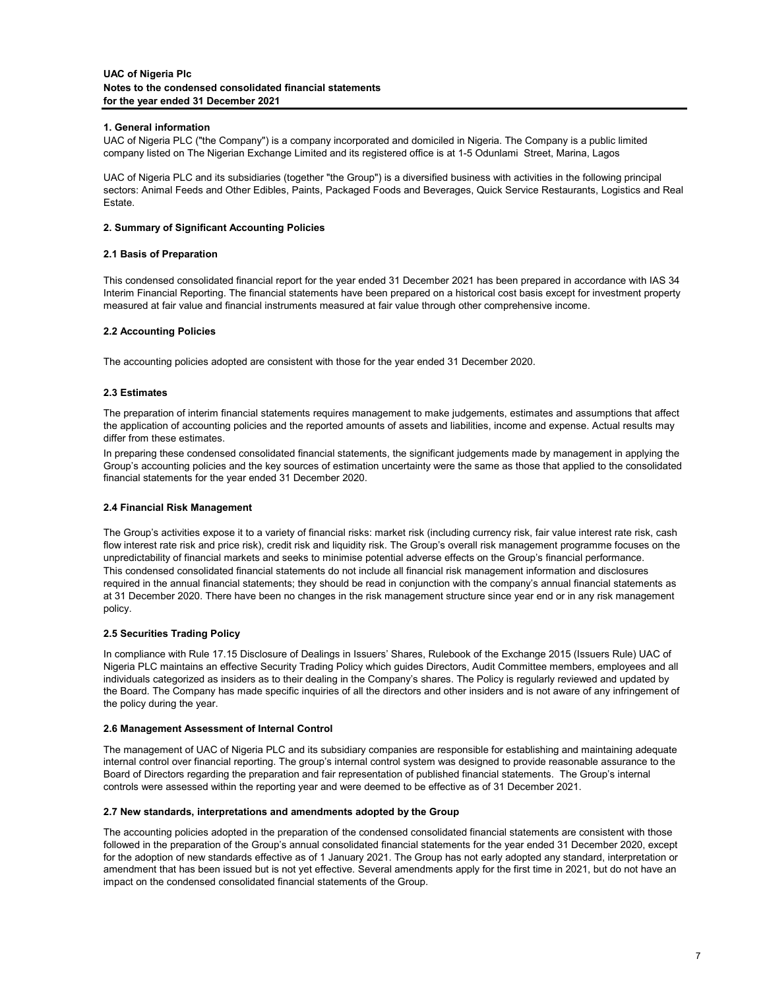# **1. General information**

UAC of Nigeria PLC ("the Company") is a company incorporated and domiciled in Nigeria. The Company is a public limited company listed on The Nigerian Exchange Limited and its registered office is at 1-5 Odunlami Street, Marina, Lagos

UAC of Nigeria PLC and its subsidiaries (together "the Group") is a diversified business with activities in the following principal sectors: Animal Feeds and Other Edibles, Paints, Packaged Foods and Beverages, Quick Service Restaurants, Logistics and Real Estate.

### **2. Summary of Significant Accounting Policies**

### **2.1 Basis of Preparation**

This condensed consolidated financial report for the year ended 31 December 2021 has been prepared in accordance with IAS 34 Interim Financial Reporting. The financial statements have been prepared on a historical cost basis except for investment property measured at fair value and financial instruments measured at fair value through other comprehensive income.

# **2.2 Accounting Policies**

The accounting policies adopted are consistent with those for the year ended 31 December 2020.

### **2.3 Estimates**

The preparation of interim financial statements requires management to make judgements, estimates and assumptions that affect the application of accounting policies and the reported amounts of assets and liabilities, income and expense. Actual results may differ from these estimates.

In preparing these condensed consolidated financial statements, the significant judgements made by management in applying the Group's accounting policies and the key sources of estimation uncertainty were the same as those that applied to the consolidated financial statements for the year ended 31 December 2020.

### **2.4 Financial Risk Management**

The Group's activities expose it to a variety of financial risks: market risk (including currency risk, fair value interest rate risk, cash flow interest rate risk and price risk), credit risk and liquidity risk. The Group's overall risk management programme focuses on the unpredictability of financial markets and seeks to minimise potential adverse effects on the Group's financial performance. This condensed consolidated financial statements do not include all financial risk management information and disclosures required in the annual financial statements; they should be read in conjunction with the company's annual financial statements as at 31 December 2020. There have been no changes in the risk management structure since year end or in any risk management policy.

### **2.5 Securities Trading Policy**

In compliance with Rule 17.15 Disclosure of Dealings in Issuers' Shares, Rulebook of the Exchange 2015 (Issuers Rule) UAC of Nigeria PLC maintains an effective Security Trading Policy which guides Directors, Audit Committee members, employees and all individuals categorized as insiders as to their dealing in the Company's shares. The Policy is regularly reviewed and updated by the Board. The Company has made specific inquiries of all the directors and other insiders and is not aware of any infringement of the policy during the year.

### **2.6 Management Assessment of Internal Control**

The management of UAC of Nigeria PLC and its subsidiary companies are responsible for establishing and maintaining adequate internal control over financial reporting. The group's internal control system was designed to provide reasonable assurance to the Board of Directors regarding the preparation and fair representation of published financial statements. The Group's internal controls were assessed within the reporting year and were deemed to be effective as of 31 December 2021.

### **2.7 New standards, interpretations and amendments adopted by the Group**

The accounting policies adopted in the preparation of the condensed consolidated financial statements are consistent with those followed in the preparation of the Group's annual consolidated financial statements for the year ended 31 December 2020, except for the adoption of new standards effective as of 1 January 2021. The Group has not early adopted any standard, interpretation or amendment that has been issued but is not yet effective. Several amendments apply for the first time in 2021, but do not have an impact on the condensed consolidated financial statements of the Group.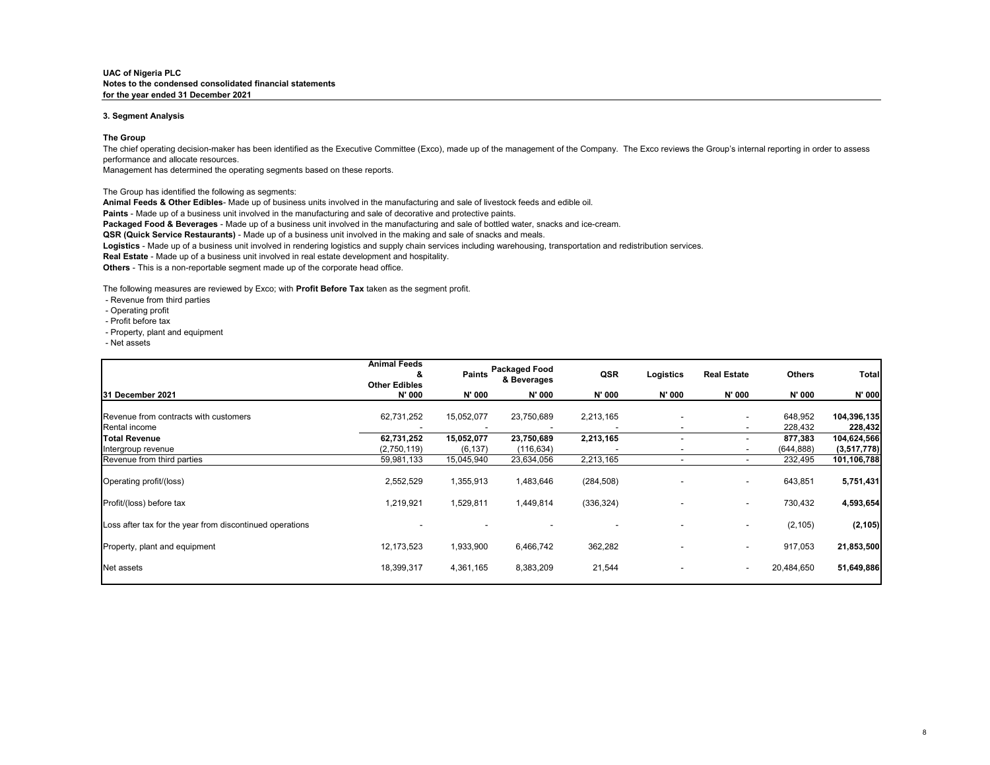## **3. Segment Analysis**

# **The Group**

Management has determined the operating segments based on these reports.

The Group has identified the following as segments:

**Paints** - Made up of a business unit involved in the manufacturing and sale of decorative and protective paints.

The following measures are reviewed by Exco; with **Profit Before Tax** taken as the segment profit.

- Revenue from third parties
- Operating profit
- Profit before tax
- Property, plant and equipment
- Net assets

The chief operating decision-maker has been identified as the Executive Committee (Exco), made up of the management of the Company. The Exco reviews the Group's internal reporting in order to assess performance and allocate resources.

| <b>Animal Feeds</b><br>& | <b>Paints</b>                      | & Beverages   | <b>QSR</b>                         | <b>Logistics</b>         | <b>Real Estate</b> | <b>Others</b> | <b>Total</b>                  |
|--------------------------|------------------------------------|---------------|------------------------------------|--------------------------|--------------------|---------------|-------------------------------|
| N' 000                   | <b>N' 000</b>                      | <b>N' 000</b> | N' 000                             | N' 000                   | N' 000             | N' 000        | N' 000                        |
|                          |                                    |               |                                    |                          |                    |               | 104,396,135                   |
|                          |                                    |               |                                    |                          |                    |               | 228,432                       |
| 62,731,252               | 15,052,077                         | 23,750,689    | 2,213,165                          |                          |                    |               | 104,624,566                   |
| (2,750,119)              | (6, 137)                           | (116, 634)    |                                    |                          |                    | (644, 888)    | (3, 517, 778)                 |
| 59,981,133               | 15,045,940                         | 23,634,056    | 2,213,165                          | $\overline{\phantom{a}}$ | $\sim$             | 232,495       | 101,106,788                   |
| 2,552,529                | 1,355,913                          | 1,483,646     | (284, 508)                         |                          |                    | 643,851       | 5,751,431                     |
| 1,219,921                | 1,529,811                          | 1,449,814     | (336, 324)                         |                          | $\sim$             | 730,432       | 4,593,654                     |
|                          |                                    |               |                                    |                          |                    | (2, 105)      | (2, 105)                      |
| 12,173,523               | 1,933,900                          | 6,466,742     | 362,282                            |                          | $\sim$             | 917,053       | 21,853,500                    |
| 18,399,317               | 4,361,165                          | 8,383,209     | 21,544                             |                          |                    | 20,484,650    | 51,649,886                    |
|                          | <b>Other Edibles</b><br>62,731,252 | 15,052,077    | <b>Packaged Food</b><br>23,750,689 | 2,213,165                |                    |               | 648,952<br>228,432<br>877,383 |

**Others** - This is a non-reportable segment made up of the corporate head office.

**Real Estate** - Made up of a business unit involved in real estate development and hospitality. **Logistics** - Made up of a business unit involved in rendering logistics and supply chain services including warehousing, transportation and redistribution services.

**Animal Feeds & Other Edibles**- Made up of business units involved in the manufacturing and sale of livestock feeds and edible oil.

**Packaged Food & Beverages** - Made up of a business unit involved in the manufacturing and sale of bottled water, snacks and ice-cream. **QSR (Quick Service Restaurants)** - Made up of a business unit involved in the making and sale of snacks and meals.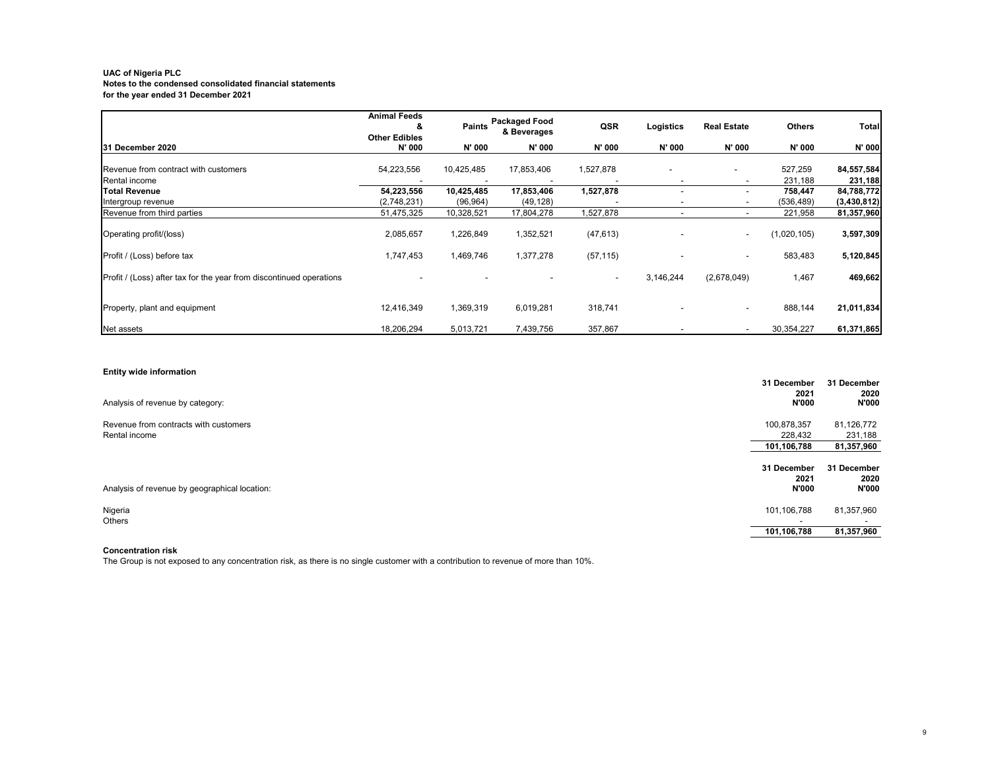|                                                                     | <b>Animal Feeds</b><br>&<br><b>Other Edibles</b> | <b>Paints</b> | <b>Packaged Food</b><br>& Beverages | <b>QSR</b>               | <b>Logistics</b> | <b>Real Estate</b> | <b>Others</b> | <b>Total</b> |
|---------------------------------------------------------------------|--------------------------------------------------|---------------|-------------------------------------|--------------------------|------------------|--------------------|---------------|--------------|
| 31 December 2020                                                    | <b>N'000</b>                                     | <b>N' 000</b> | <b>N' 000</b>                       | <b>N' 000</b>            | N' 000           | <b>N' 000</b>      | <b>N' 000</b> | N' 000       |
| Revenue from contract with customers                                | 54,223,556                                       | 10,425,485    | 17,853,406                          | 1,527,878                |                  |                    | 527,259       | 84,557,584   |
| Rental income                                                       |                                                  |               |                                     |                          |                  |                    | 231,188       | 231,188      |
| <b>Total Revenue</b>                                                | 54,223,556                                       | 10,425,485    | 17,853,406                          | 1,527,878                |                  |                    | 758,447       | 84,788,772   |
| Intergroup revenue                                                  | (2,748,231)                                      | (96, 964)     | (49, 128)                           |                          |                  |                    | (536, 489)    | (3,430,812)  |
| Revenue from third parties                                          | 51,475,325                                       | 10,328,521    | 17,804,278                          | 1,527,878                |                  |                    | 221,958       | 81,357,960   |
| Operating profit/(loss)                                             | 2,085,657                                        | 1,226,849     | 1,352,521                           | (47, 613)                |                  |                    | (1,020,105)   | 3,597,309    |
| Profit / (Loss) before tax                                          | 1,747,453                                        | 1,469,746     | 1,377,278                           | (57, 115)                |                  |                    | 583,483       | 5,120,845    |
| Profit / (Loss) after tax for the year from discontinued operations |                                                  |               |                                     | $\overline{\phantom{a}}$ | 3,146,244        | (2,678,049)        | 1,467         | 469,662      |
| Property, plant and equipment                                       | 12,416,349                                       | 1,369,319     | 6,019,281                           | 318,741                  |                  |                    | 888,144       | 21,011,834   |
| Net assets                                                          | 18,206,294                                       | 5,013,721     | 7,439,756                           | 357,867                  |                  |                    | 30,354,227    | 61,371,865   |

# **Entity wide information**

| Analysis of revenue by category:              | 31 December<br>2021<br><b>N'000</b> | 31 December<br>2020<br><b>N'000</b> |
|-----------------------------------------------|-------------------------------------|-------------------------------------|
| Revenue from contracts with customers         | 100,878,357                         | 81,126,772                          |
| Rental income                                 | 228,432                             | 231,188                             |
|                                               | 101,106,788                         | 81,357,960                          |
| Analysis of revenue by geographical location: | 31 December<br>2021<br><b>N'000</b> | 31 December<br>2020<br><b>N'000</b> |
| Nigeria<br><b>Others</b>                      | 101,106,788                         | 81,357,960                          |
|                                               | 101,106,788                         | 81,357,960                          |

# **Concentration risk**

The Group is not exposed to any concentration risk, as there is no single customer with a contribution to revenue of more than 10%.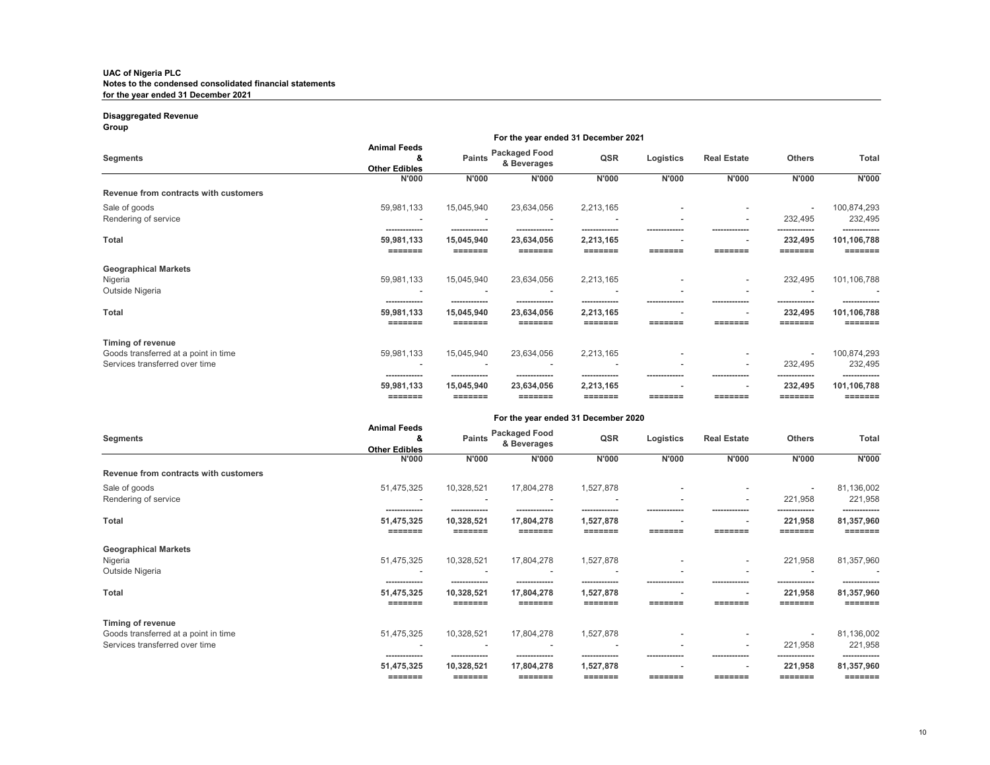# **Disaggregated Revenue Group**

|                                                                                                    | For the year ended 31 December 2021              |                                      |                                        |                                       |                          |                                                      |                                     |                              |  |
|----------------------------------------------------------------------------------------------------|--------------------------------------------------|--------------------------------------|----------------------------------------|---------------------------------------|--------------------------|------------------------------------------------------|-------------------------------------|------------------------------|--|
| <b>Segments</b>                                                                                    | <b>Animal Feeds</b><br>&<br><b>Other Edibles</b> | <b>Paints</b>                        | <b>Packaged Food</b><br>& Beverages    | <b>QSR</b>                            | <b>Logistics</b>         | <b>Real Estate</b>                                   | <b>Others</b>                       | <b>Total</b>                 |  |
|                                                                                                    | <b>N'000</b>                                     | <b>N'000</b>                         | <b>N'000</b>                           | <b>N'000</b>                          | <b>N'000</b>             | <b>N'000</b>                                         | <b>N'000</b>                        | <b>N'000</b>                 |  |
| Revenue from contracts with customers                                                              |                                                  |                                      |                                        |                                       |                          |                                                      |                                     |                              |  |
| Sale of goods<br>Rendering of service                                                              | 59,981,133<br>$\overline{\phantom{0}}$           | 15,045,940                           | 23,634,056                             | 2,213,165                             | $\overline{\phantom{a}}$ | $\overline{\phantom{a}}$<br>$\overline{\phantom{0}}$ | Ξ.<br>232,495                       | 100,874,293<br>232,495       |  |
| <b>Total</b>                                                                                       | -------------<br>59,981,133<br>=======           | 15,045,940<br>======                 | -------------<br>23,634,056<br>======= | -------------<br>2,213,165<br>======= | $\overline{\phantom{a}}$ | -------------<br>$\overline{\phantom{a}}$            | 232,495                             | 101,106,788                  |  |
| <b>Geographical Markets</b><br>Nigeria<br>Outside Nigeria                                          | 59,981,133                                       | 15,045,940                           | 23,634,056                             | 2,213,165                             |                          | $\overline{\phantom{a}}$                             | 232,495                             | 101,106,788                  |  |
| <b>Total</b>                                                                                       | -------------<br>59,981,133<br>=======           | ------------<br>15,045,940<br>222222 | -------------<br>23,634,056<br>======= | -------------<br>2,213,165<br>======= | ------------<br>=======  | ------------<br>=======                              | -------------<br>232,495<br>======= | -------------<br>101,106,788 |  |
| <b>Timing of revenue</b><br>Goods transferred at a point in time<br>Services transferred over time | 59,981,133<br>-------------                      | 15,045,940<br>-------------          | 23,634,056<br>-------------            | 2,213,165<br>-------------            | -------------            | $\overline{\phantom{a}}$<br>-------------            | 232,495<br>                         | 100,874,293<br>232,495       |  |
|                                                                                                    | 59,981,133<br>=======                            | 15,045,940<br>=======                | 23,634,056<br>=======                  | 2,213,165<br>=======                  | =======                  | =======                                              | 232,495<br>=======                  | 101,106,788<br>=======       |  |

| <b>Segments</b>                                                                                    | <b>Animal Feeds</b><br>&<br><b>Other Edibles</b> | <b>Paints</b>                          | <b>Packaged Food</b><br>& Beverages    | <b>QSR</b>                            | <b>Logistics</b>                                     | <b>Real Estate</b>                         | <b>Others</b>                       | <b>Total</b>                          |
|----------------------------------------------------------------------------------------------------|--------------------------------------------------|----------------------------------------|----------------------------------------|---------------------------------------|------------------------------------------------------|--------------------------------------------|-------------------------------------|---------------------------------------|
|                                                                                                    | <b>N'000</b>                                     | <b>N'000</b>                           | <b>N'000</b>                           | <b>N'000</b>                          | <b>N'000</b>                                         | <b>N'000</b>                               | <b>N'000</b>                        | <b>N'000</b>                          |
| Revenue from contracts with customers                                                              |                                                  |                                        |                                        |                                       |                                                      |                                            |                                     |                                       |
| Sale of goods<br>Rendering of service                                                              | 51,475,325                                       | 10,328,521                             | 17,804,278                             | 1,527,878                             |                                                      | $\sim$                                     | $\sim$<br>221,958                   | 81,136,002<br>221,958                 |
| <b>Total</b>                                                                                       | -------------<br>51,475,325<br>=======           | -------------<br>10,328,521<br>======= | -------------<br>17,804,278<br>======= | -------------<br>1,527,878<br>======= | -------------<br>$\overline{\phantom{0}}$<br>======= | -------------<br>$\blacksquare$<br>======= | -------------<br>221,958<br>======= | ------------<br>81,357,960<br>======= |
| <b>Geographical Markets</b><br>Nigeria<br>Outside Nigeria                                          | 51,475,325                                       | 10,328,521                             | 17,804,278                             | 1,527,878                             |                                                      | $\sim$                                     | 221,958                             | 81,357,960                            |
| <b>Total</b>                                                                                       | -------------<br>51,475,325<br>=======           | -------------<br>10,328,521<br>======= | -------------<br>17,804,278<br>222222  | -------------<br>1,527,878<br>======= | ------------<br>≡≡≡≡≡≡≡                              | -------------                              | -------------<br>221,958<br>======= | ------------<br>81,357,960<br>======  |
| <b>Timing of revenue</b><br>Goods transferred at a point in time<br>Services transferred over time | 51,475,325<br>-------------                      | 10,328,521<br>------------             | 17,804,278<br>------------             | 1,527,878<br>-------------            | ------------                                         | $\sim$<br>-------------                    | $\sim$<br>221,958<br>-------------  | 81,136,002<br>221,958<br>------------ |
|                                                                                                    | 51,475,325<br>=======                            | 10,328,521<br>=======                  | 17,804,278<br>=======                  | 1,527,878<br>=======                  | $\overline{\phantom{0}}$<br>=======                  | $\blacksquare$                             | 221,958<br>=======                  | 81,357,960<br>=======                 |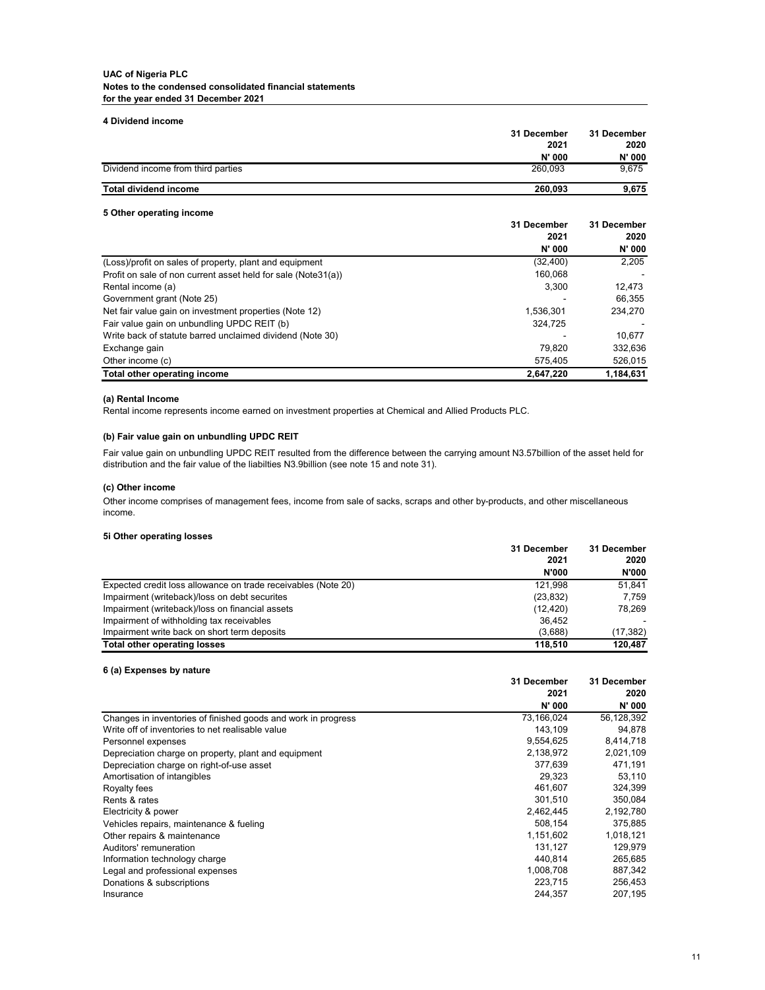#### **4 Dividend income**

|                                    | 31 December   | 31 December |
|------------------------------------|---------------|-------------|
|                                    | 2021          | 2020        |
|                                    | <b>N' 000</b> | N' 000      |
| Dividend income from third parties | 260,093       | 9,675       |
| <b>Total dividend income</b>       | 260,093       | 9,675       |

# **5 Other operating income**

|                                                               | 31 December   | 31 December |  |
|---------------------------------------------------------------|---------------|-------------|--|
|                                                               | 2021          | 2020        |  |
|                                                               | <b>N' 000</b> | N' 000      |  |
| (Loss)/profit on sales of property, plant and equipment       | (32, 400)     | 2,205       |  |
| Profit on sale of non current asset held for sale (Note31(a)) | 160,068       |             |  |
| Rental income (a)                                             | 3,300         | 12,473      |  |
| Government grant (Note 25)                                    |               | 66,355      |  |
| Net fair value gain on investment properties (Note 12)        | 1,536,301     | 234,270     |  |
| Fair value gain on unbundling UPDC REIT (b)                   | 324,725       |             |  |
| Write back of statute barred unclaimed dividend (Note 30)     |               | 10,677      |  |
| Exchange gain                                                 | 79,820        | 332,636     |  |
| Other income (c)                                              | 575,405       | 526,015     |  |
| <b>Total other operating income</b>                           | 2,647,220     | 1,184,631   |  |

#### **(a) Rental Income**

Rental income represents income earned on investment properties at Chemical and Allied Products PLC.

### **(b) Fair value gain on unbundling UPDC REIT**

#### **(c) Other income**

#### **5i Other operating losses**

|                                                               | 31 December  | 31 December  |
|---------------------------------------------------------------|--------------|--------------|
|                                                               | 2021         | 2020         |
|                                                               | <b>N'000</b> | <b>N'000</b> |
| Expected credit loss allowance on trade receivables (Note 20) | 121,998      | 51,841       |
| Impairment (writeback)/loss on debt securites                 | (23, 832)    | 7,759        |
| Impairment (writeback)/loss on financial assets               | (12, 420)    | 78,269       |
| Impairment of withholding tax receivables                     | 36,452       |              |
| Impairment write back on short term deposits                  | (3,688)      | (17, 382)    |
| <b>Total other operating losses</b>                           | 118,510      | 120,487      |

#### **6 (a) Expenses by nature**

|                                                               | 31 December | 31 December   |
|---------------------------------------------------------------|-------------|---------------|
|                                                               | 2021        | 2020          |
|                                                               | N' 000      | <b>N' 000</b> |
| Changes in inventories of finished goods and work in progress | 73,166,024  | 56,128,392    |
| Write off of inventories to net realisable value              | 143,109     | 94,878        |
| Personnel expenses                                            | 9,554,625   | 8,414,718     |
| Depreciation charge on property, plant and equipment          | 2,138,972   | 2,021,109     |
| Depreciation charge on right-of-use asset                     | 377,639     | 471,191       |
| Amortisation of intangibles                                   | 29,323      | 53,110        |
| Royalty fees                                                  | 461,607     | 324,399       |
| Rents & rates                                                 | 301,510     | 350,084       |
| Electricity & power                                           | 2,462,445   | 2,192,780     |
| Vehicles repairs, maintenance & fueling                       | 508,154     | 375,885       |
| Other repairs & maintenance                                   | 1,151,602   | 1,018,121     |
| Auditors' remuneration                                        | 131,127     | 129,979       |
| Information technology charge                                 | 440,814     | 265,685       |
| Legal and professional expenses                               | 1,008,708   | 887,342       |
| Donations & subscriptions                                     | 223,715     | 256,453       |
| Insurance                                                     | 244,357     | 207,195       |

Other income comprises of management fees, income from sale of sacks, scraps and other by-products, and other miscellaneous income.

Fair value gain on unbundling UPDC REIT resulted from the difference between the carrying amount N3.57billion of the asset held for distribution and the fair value of the liabilties N3.9billion (see note 15 and note 31).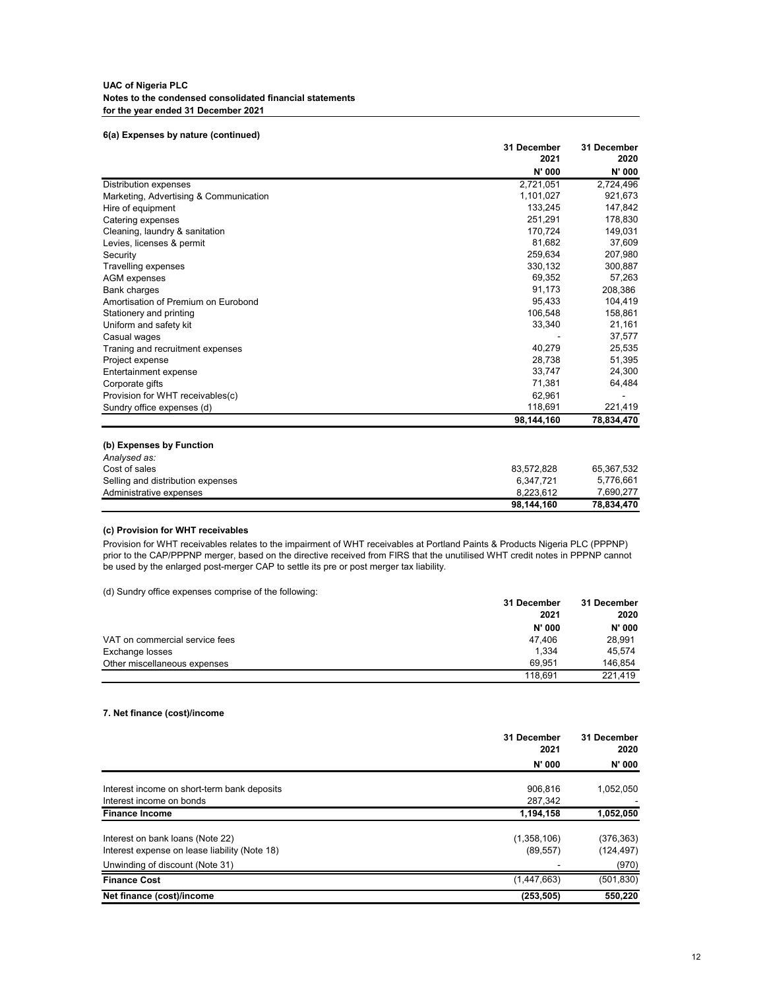### **6(a) Expenses by nature (continued)**

|                                        | 31 December | 31 December |  |
|----------------------------------------|-------------|-------------|--|
|                                        | 2021        | 2020        |  |
|                                        | N' 000      | N' 000      |  |
| <b>Distribution expenses</b>           | 2,721,051   | 2,724,496   |  |
| Marketing, Advertising & Communication | 1,101,027   | 921,673     |  |
| Hire of equipment                      | 133,245     | 147,842     |  |
| Catering expenses                      | 251,291     | 178,830     |  |
| Cleaning, laundry & sanitation         | 170,724     | 149,031     |  |
| Levies, licenses & permit              | 81,682      | 37,609      |  |
| Security                               | 259,634     | 207,980     |  |
| Travelling expenses                    | 330,132     | 300,887     |  |
| <b>AGM</b> expenses                    | 69,352      | 57,263      |  |
| <b>Bank charges</b>                    | 91,173      | 208,386     |  |
| Amortisation of Premium on Eurobond    | 95,433      | 104,419     |  |
| Stationery and printing                | 106,548     | 158,861     |  |
| Uniform and safety kit                 | 33,340      | 21,161      |  |
| Casual wages                           |             | 37,577      |  |
| Traning and recruitment expenses       | 40,279      | 25,535      |  |
| Project expense                        | 28,738      | 51,395      |  |
| <b>Entertainment expense</b>           | 33,747      | 24,300      |  |
| Corporate gifts                        | 71,381      | 64,484      |  |
| Provision for WHT receivables(c)       | 62,961      |             |  |
| Sundry office expenses (d)             | 118,691     | 221,419     |  |
|                                        | 98,144,160  | 78,834,470  |  |
|                                        |             |             |  |
| (b) Expenses by Function               |             |             |  |
| Analysed as:                           |             |             |  |
| Cost of sales                          | 83,572,828  | 65,367,532  |  |
| Selling and distribution expenses      | 6,347,721   | 5,776,661   |  |
| Administrative expenses                | 8,223,612   | 7,690,277   |  |
|                                        | 98,144,160  | 78,834,470  |  |

#### **(c) Provision for WHT receivables**

(d) Sundry office expenses comprise of the following:

|                                | 31 December | 31 December |
|--------------------------------|-------------|-------------|
|                                | 2021        | 2020        |
|                                | N' 000      | N' 000      |
| VAT on commercial service fees | 47,406      | 28,991      |
| Exchange losses                | 1,334       | 45,574      |
| Other miscellaneous expenses   | 69.951      | 146,854     |
|                                | 118,691     | 221,419     |

|                                                                                   | 2021                     | 2020                     |
|-----------------------------------------------------------------------------------|--------------------------|--------------------------|
|                                                                                   | N' 000                   | <b>N' 000</b>            |
| Interest income on short-term bank deposits                                       | 906,816                  | 1,052,050                |
| Interest income on bonds                                                          | 287,342                  |                          |
| <b>Finance Income</b>                                                             | 1,194,158                | 1,052,050                |
| Interest on bank loans (Note 22)<br>Interest expense on lease liability (Note 18) | (1,358,106)<br>(89, 557) | (376, 363)<br>(124, 497) |
| Unwinding of discount (Note 31)                                                   |                          | (970)                    |
| <b>Finance Cost</b>                                                               | (1,447,663)              | (501, 830)               |
| Net finance (cost)/income                                                         | (253, 505)               | 550,220                  |

Provision for WHT receivables relates to the impairment of WHT receivables at Portland Paints & Products Nigeria PLC (PPPNP) prior to the CAP/PPPNP merger, based on the directive received from FIRS that the unutilised WHT credit notes in PPPNP cannot be used by the enlarged post-merger CAP to settle its pre or post merger tax liability.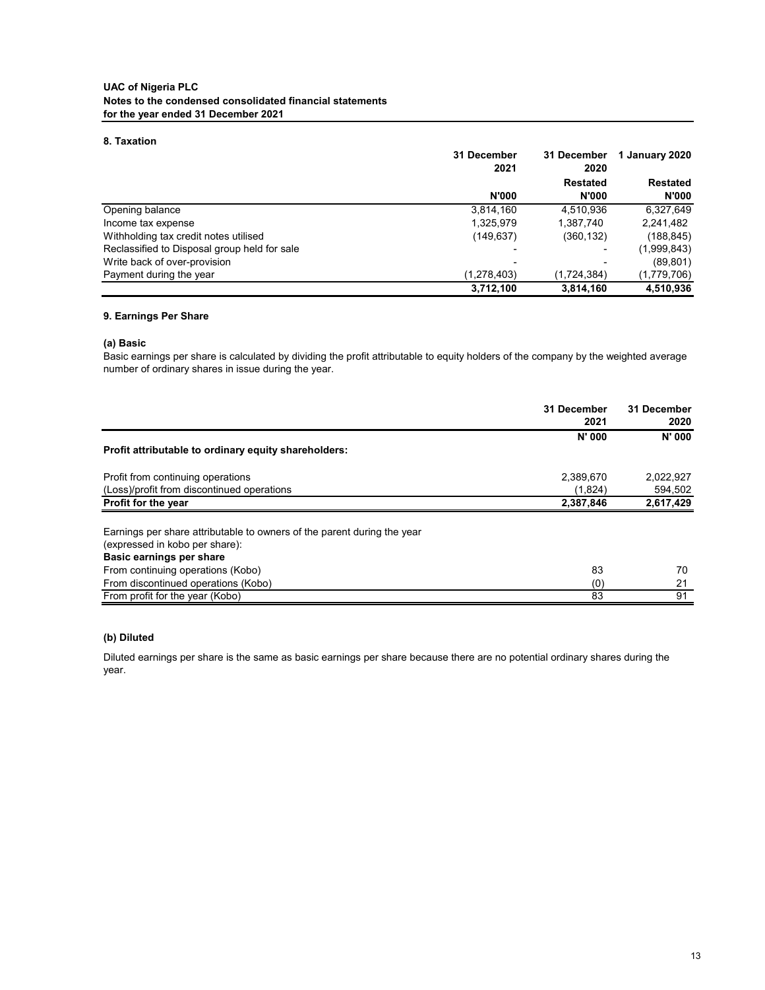#### **8. Taxation**

|                                              | 31 December  | 31 December             | 1 January 2020  |
|----------------------------------------------|--------------|-------------------------|-----------------|
|                                              | 2021         | 2020<br><b>Restated</b> | <b>Restated</b> |
|                                              | <b>N'000</b> | <b>N'000</b>            | <b>N'000</b>    |
| Opening balance                              | 3,814,160    | 4,510,936               | 6,327,649       |
| Income tax expense                           | 1,325,979    | 1,387,740               | 2,241,482       |
| Withholding tax credit notes utilised        | (149, 637)   | (360, 132)              | (188, 845)      |
| Reclassified to Disposal group held for sale |              |                         | (1,999,843)     |
| Write back of over-provision                 |              |                         | (89, 801)       |
| Payment during the year                      | (1,278,403)  | (1,724,384)             | (1,779,706)     |
|                                              | 3,712,100    | 3,814,160               | 4,510,936       |

#### **9. Earnings Per Share**

### **(a) Basic**

Basic earnings per share is calculated by dividing the profit attributable to equity holders of the company by the weighted average number of ordinary shares in issue during the year.

|                                                                                                           | 31 December<br>2021 | 31 December<br>2020 |
|-----------------------------------------------------------------------------------------------------------|---------------------|---------------------|
|                                                                                                           | N' 000              | <b>N' 000</b>       |
| Profit attributable to ordinary equity shareholders:                                                      |                     |                     |
| Profit from continuing operations                                                                         | 2,389,670           | 2,022,927           |
| (Loss)/profit from discontinued operations                                                                | (1,824)             | 594,502             |
| Profit for the year                                                                                       | 2,387,846           | 2,617,429           |
| Earnings per share attributable to owners of the parent during the year<br>(expressed in kobo per share): |                     |                     |
| <b>Basic earnings per share</b>                                                                           |                     |                     |
| From continuing operations (Kobo)                                                                         | 83                  | 70                  |
| From discontinued operations (Kobo)                                                                       | (0)                 | 21                  |
| From profit for the year (Kobo)                                                                           | 83                  | 91                  |

### **(b) Diluted**

Diluted earnings per share is the same as basic earnings per share because there are no potential ordinary shares during the year.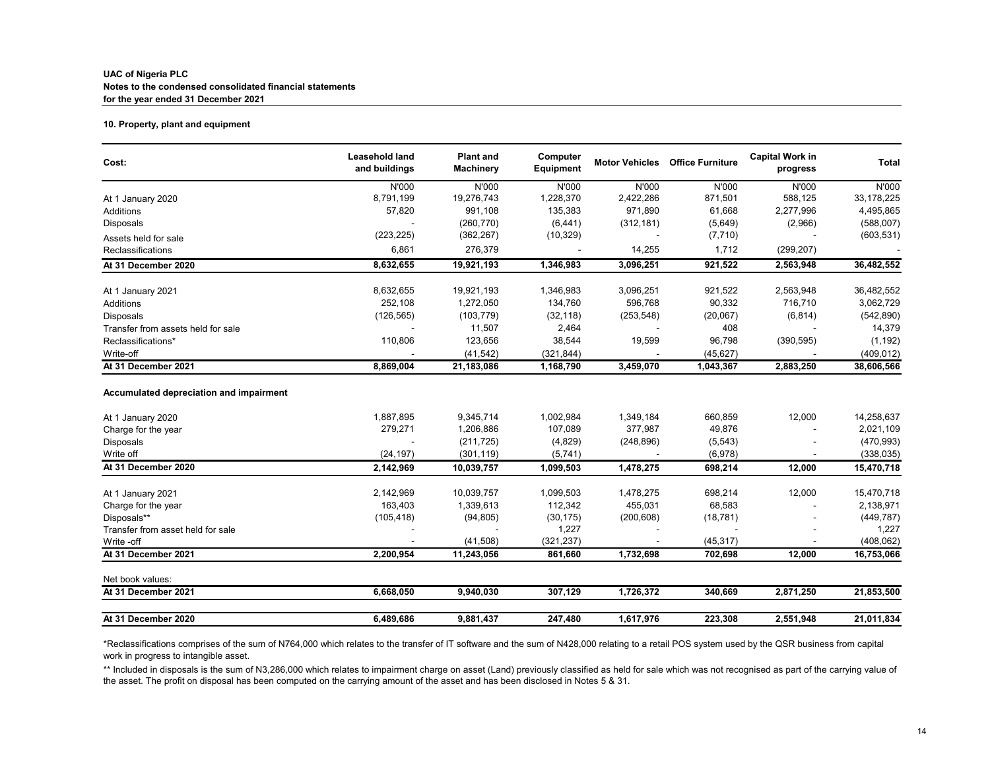#### **10. Property, plant and equipment**

| Cost:                                   | <b>Leasehold land</b><br>and buildings | <b>Plant and</b><br><b>Machinery</b> | Computer<br><b>Equipment</b> |            | <b>Motor Vehicles Office Furniture</b> | <b>Capital Work in</b><br>progress | <b>Total</b> |
|-----------------------------------------|----------------------------------------|--------------------------------------|------------------------------|------------|----------------------------------------|------------------------------------|--------------|
|                                         | N'000                                  | N'000                                | N'000                        | N'000      | N'000                                  | N'000                              | N'000        |
| At 1 January 2020                       | 8,791,199                              | 19,276,743                           | 1,228,370                    | 2,422,286  | 871,501                                | 588,125                            | 33, 178, 225 |
| Additions                               | 57,820                                 | 991,108                              | 135,383                      | 971,890    | 61,668                                 | 2,277,996                          | 4,495,865    |
| <b>Disposals</b>                        |                                        | (260, 770)                           | (6, 441)                     | (312, 181) | (5,649)                                | (2,966)                            | (588,007)    |
| Assets held for sale                    | (223, 225)                             | (362, 267)                           | (10, 329)                    |            | (7, 710)                               |                                    | (603, 531)   |
| Reclassifications                       | 6,861                                  | 276,379                              |                              | 14,255     | 1,712                                  | (299, 207)                         |              |
| At 31 December 2020                     | 8,632,655                              | 19,921,193                           | 1,346,983                    | 3,096,251  | 921,522                                | 2,563,948                          | 36,482,552   |
| At 1 January 2021                       | 8,632,655                              | 19,921,193                           | 1,346,983                    | 3,096,251  | 921,522                                | 2,563,948                          | 36,482,552   |
| Additions                               | 252,108                                | 1,272,050                            | 134,760                      | 596,768    | 90,332                                 | 716,710                            | 3,062,729    |
| <b>Disposals</b>                        | (126, 565)                             | (103, 779)                           | (32, 118)                    | (253, 548) | (20,067)                               | (6, 814)                           | (542,890)    |
| Transfer from assets held for sale      |                                        | 11,507                               | 2,464                        |            | 408                                    |                                    | 14,379       |
| Reclassifications*                      | 110,806                                | 123,656                              | 38,544                       | 19,599     | 96,798                                 | (390, 595)                         | (1, 192)     |
| Write-off                               |                                        | (41, 542)                            | (321, 844)                   |            | (45, 627)                              |                                    | (409, 012)   |
| At 31 December 2021                     | 8,869,004                              | 21,183,086                           | 1,168,790                    | 3,459,070  | 1,043,367                              | 2,883,250                          | 38,606,566   |
| Accumulated depreciation and impairment |                                        |                                      |                              |            |                                        |                                    |              |
| At 1 January 2020                       | 1,887,895                              | 9,345,714                            | 1,002,984                    | 1,349,184  | 660,859                                | 12,000                             | 14,258,637   |
| Charge for the year                     | 279,271                                | 1,206,886                            | 107,089                      | 377,987    | 49,876                                 |                                    | 2,021,109    |
| <b>Disposals</b>                        |                                        | (211, 725)                           | (4,829)                      | (248, 896) | (5, 543)                               |                                    | (470, 993)   |
| Write off                               | (24, 197)                              | (301, 119)                           | (5,741)                      |            | (6,978)                                |                                    | (338,035)    |
| At 31 December 2020                     | 2,142,969                              | 10,039,757                           | 1,099,503                    | 1,478,275  | 698,214                                | 12,000                             | 15,470,718   |
| At 1 January 2021                       | 2,142,969                              | 10,039,757                           | 1,099,503                    | 1,478,275  | 698,214                                | 12,000                             | 15,470,718   |
| Charge for the year                     | 163,403                                | 1,339,613                            | 112,342                      | 455,031    | 68,583                                 |                                    | 2,138,971    |
| Disposals**                             | (105, 418)                             | (94, 805)                            | (30, 175)                    | (200, 608) | (18, 781)                              |                                    | (449, 787)   |
| Transfer from asset held for sale       |                                        |                                      | 1,227                        |            |                                        |                                    | 1,227        |
| Write -off                              |                                        | (41,508)                             | (321, 237)                   |            | (45, 317)                              |                                    | (408, 062)   |
| At 31 December 2021                     | 2,200,954                              | 11,243,056                           | 861,660                      | 1,732,698  | 702,698                                | 12,000                             | 16,753,066   |
| Net book values:                        |                                        |                                      |                              |            |                                        |                                    |              |
| At 31 December 2021                     | 6,668,050                              | 9,940,030                            | 307,129                      | 1,726,372  | 340,669                                | 2,871,250                          | 21,853,500   |
| At 31 December 2020                     | 6,489,686                              | 9,881,437                            | 247,480                      | 1,617,976  | 223,308                                | 2,551,948                          | 21,011,834   |

\*\* Included in disposals is the sum of N3,286,000 which relates to impairment charge on asset (Land) previously classified as held for sale which was not recognised as part of the carrying value of the asset. The profit on disposal has been computed on the carrying amount of the asset and has been disclosed in Notes 5 & 31.

\*Reclassifications comprises of the sum of N764,000 which relates to the transfer of IT software and the sum of N428,000 relating to a retail POS system used by the QSR business from capital work in progress to intangible asset.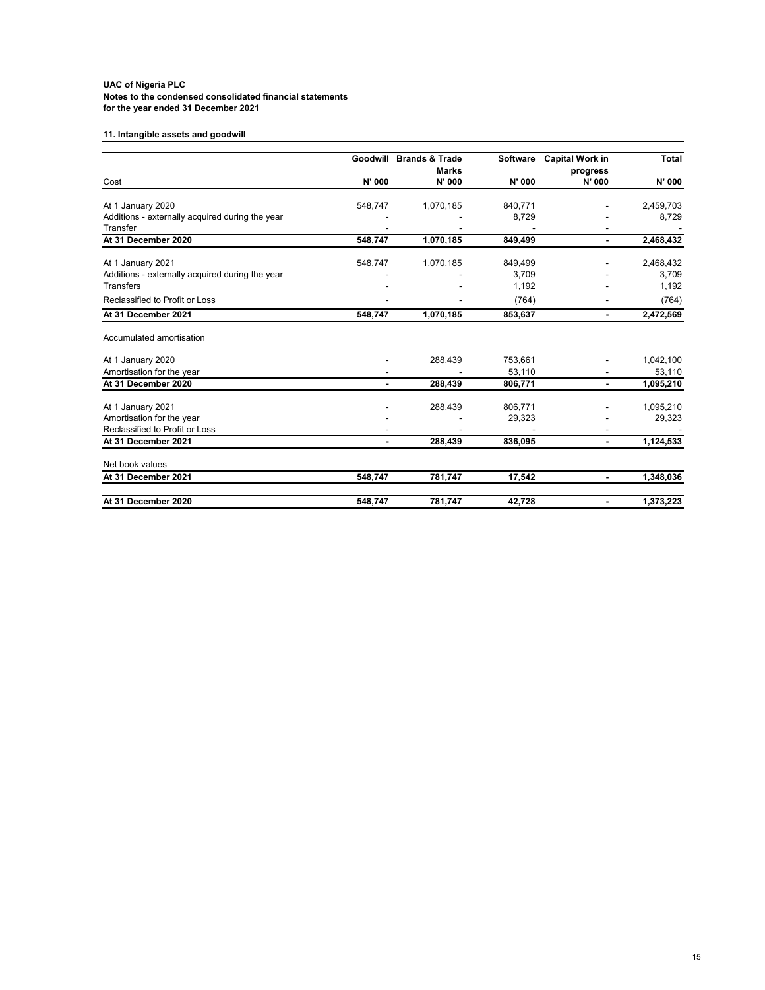# **11. Intangible assets and goodwill**

|                                                                    |               | <b>Goodwill Brands &amp; Trade</b> | <b>Software</b> | <b>Capital Work in</b>   | <b>Total</b> |
|--------------------------------------------------------------------|---------------|------------------------------------|-----------------|--------------------------|--------------|
| Cost                                                               | <b>N' 000</b> | <b>Marks</b><br>N' 000             | <b>N' 000</b>   | progress<br>N' 000       | N' 000       |
| At 1 January 2020                                                  | 548,747       | 1,070,185                          | 840,771         |                          | 2,459,703    |
| Additions - externally acquired during the year<br><b>Transfer</b> |               |                                    | 8,729           |                          | 8,729        |
| At 31 December 2020                                                | 548,747       | 1,070,185                          | 849,499         | $\blacksquare$           | 2,468,432    |
| At 1 January 2021                                                  | 548,747       | 1,070,185                          | 849,499         |                          | 2,468,432    |
| Additions - externally acquired during the year                    |               |                                    | 3,709           |                          | 3,709        |
| <b>Transfers</b>                                                   |               |                                    | 1,192           |                          | 1,192        |
| Reclassified to Profit or Loss                                     |               |                                    | (764)           |                          | (764)        |
| At 31 December 2021                                                | 548,747       | 1,070,185                          | 853,637         |                          | 2,472,569    |
| Accumulated amortisation                                           |               |                                    |                 |                          |              |
| At 1 January 2020                                                  |               | 288,439                            | 753,661         |                          | 1,042,100    |
| Amortisation for the year                                          |               |                                    | 53,110          |                          | 53,110       |
| At 31 December 2020                                                |               | 288,439                            | 806,771         |                          | 1,095,210    |
| At 1 January 2021                                                  |               | 288,439                            | 806,771         |                          | 1,095,210    |
| Amortisation for the year                                          |               |                                    | 29,323          |                          | 29,323       |
| Reclassified to Profit or Loss                                     |               |                                    |                 |                          |              |
| At 31 December 2021                                                |               | 288,439                            | 836,095         |                          | 1,124,533    |
| Net book values                                                    |               |                                    |                 |                          |              |
| At 31 December 2021                                                | 548,747       | 781,747                            | 17,542          | $\blacksquare$           | 1,348,036    |
| At 31 December 2020                                                | 548,747       | 781,747                            | 42,728          | $\overline{\phantom{0}}$ | 1,373,223    |

# **UAC of Nigeria PLC Notes to the condensed consolidated financial statements for the year ended 31 December 2021**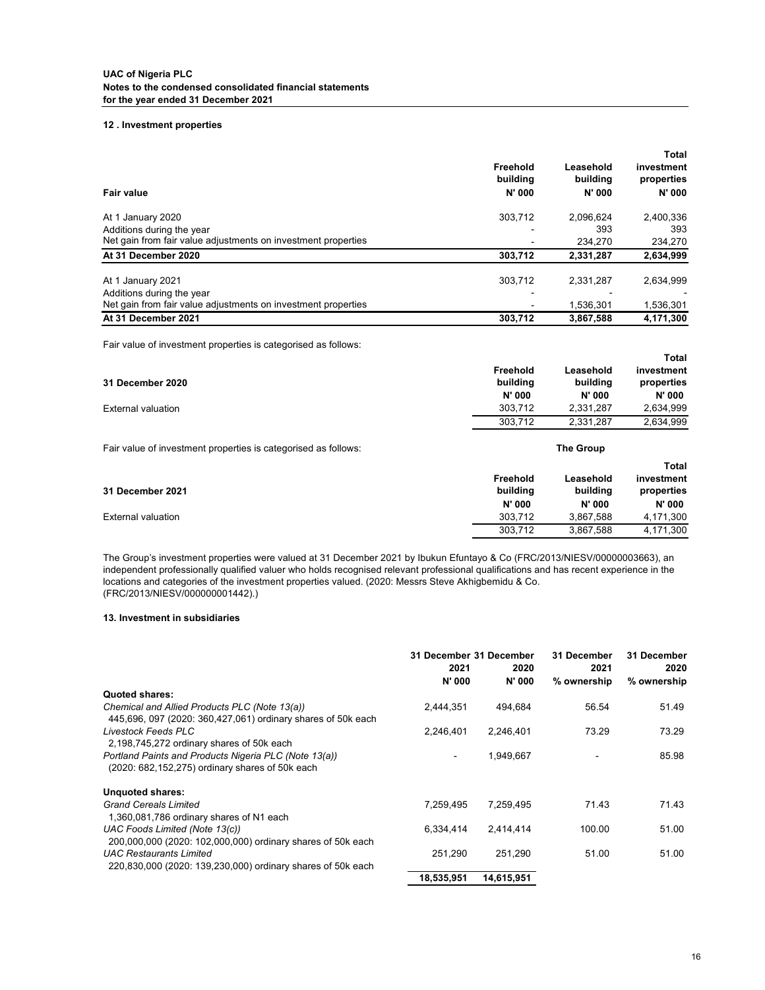#### **12 . Investment properties**

| <b>Fair value</b>                                             | <b>Freehold</b><br>building<br><b>N' 000</b> | Leasehold<br>building<br><b>N' 000</b> | <b>Total</b><br>investment<br>properties<br><b>N'000</b> |
|---------------------------------------------------------------|----------------------------------------------|----------------------------------------|----------------------------------------------------------|
| At 1 January 2020                                             | 303,712                                      | 2,096,624                              | 2,400,336                                                |
| Additions during the year                                     |                                              | 393                                    | 393                                                      |
| Net gain from fair value adjustments on investment properties |                                              | 234,270                                | 234,270                                                  |
| At 31 December 2020                                           | 303,712                                      | 2,331,287                              | 2,634,999                                                |
| At 1 January 2021                                             | 303,712                                      | 2,331,287                              | 2,634,999                                                |
| Additions during the year                                     |                                              |                                        |                                                          |
| Net gain from fair value adjustments on investment properties |                                              | 1,536,301                              | 1,536,301                                                |
| At 31 December 2021                                           | 303,712                                      | 3,867,588                              | 4,171,300                                                |

Fair value of investment properties is categorised as follows:

|                           |                 |           | <b>Total</b>  |
|---------------------------|-----------------|-----------|---------------|
|                           | <b>Freehold</b> | Leasehold | investment    |
| 31 December 2020          | building        | building  | properties    |
|                           | N' 000          | N' 000    | <b>N' 000</b> |
| <b>External valuation</b> | 303,712         | 2,331,287 | 2,634,999     |
|                           | 303,712         | 2,331,287 | 2,634,999     |

Fair value of investment properties is categorised as follows:

|                           |                 |           | <b>Total</b>  |
|---------------------------|-----------------|-----------|---------------|
|                           | <b>Freehold</b> | Leasehold | investment    |
| 31 December 2021          | building        | building  | properties    |
|                           | <b>N' 000</b>   | N' 000    | <b>N' 000</b> |
| <b>External valuation</b> | 303,712         | 3,867,588 | 4,171,300     |
|                           | 303,712         | 3,867,588 | 4,171,300     |

#### **13. Investment in subsidiaries**

The Group's investment properties were valued at 31 December 2021 by Ibukun Efuntayo & Co (FRC/2013/NIESV/00000003663), an independent professionally qualified valuer who holds recognised relevant professional qualifications and has recent experience in the locations and categories of the investment properties valued. (2020: Messrs Steve Akhigbemidu & Co. (FRC/2013/NIESV/000000001442).)

|                                                              | 31 December 31 December |           | 31 December | 31 December |
|--------------------------------------------------------------|-------------------------|-----------|-------------|-------------|
|                                                              | 2021                    | 2020      | 2021        | 2020        |
|                                                              | N' 000                  | N' 000    | % ownership | % ownership |
| <b>Quoted shares:</b>                                        |                         |           |             |             |
| Chemical and Allied Products PLC (Note 13(a))                | 2,444,351               | 494.684   | 56.54       | 51.49       |
| 445,696, 097 (2020: 360,427,061) ordinary shares of 50k each |                         |           |             |             |
| Livestock Feeds PLC                                          | 2,246,401               | 2,246,401 | 73.29       | 73.29       |
| 2,198,745,272 ordinary shares of 50k each                    |                         |           |             |             |
| Portland Paints and Products Nigeria PLC (Note 13(a))        |                         | 1,949,667 |             | 85.98       |
| (2020: 682, 152, 275) ordinary shares of 50k each            |                         |           |             |             |

**Unquoted shares:** *Grand Cereals Limited* 7,259,495 7,259,495 71.43 71.43 1,360,081,786 ordinary shares of N1 each *UAC Foods Limited (Note 13(c))* 6,334,414 2,414,414 100.00 51.00 200,000,000 (2020: 102,000,000) ordinary shares of 50k each *UAC Restaurants Limited* 251,290 251,290 51.00 51.00 220,830,000 (2020: 139,230,000) ordinary shares of 50k each  **18,535,951 14,615,951**

**The Group**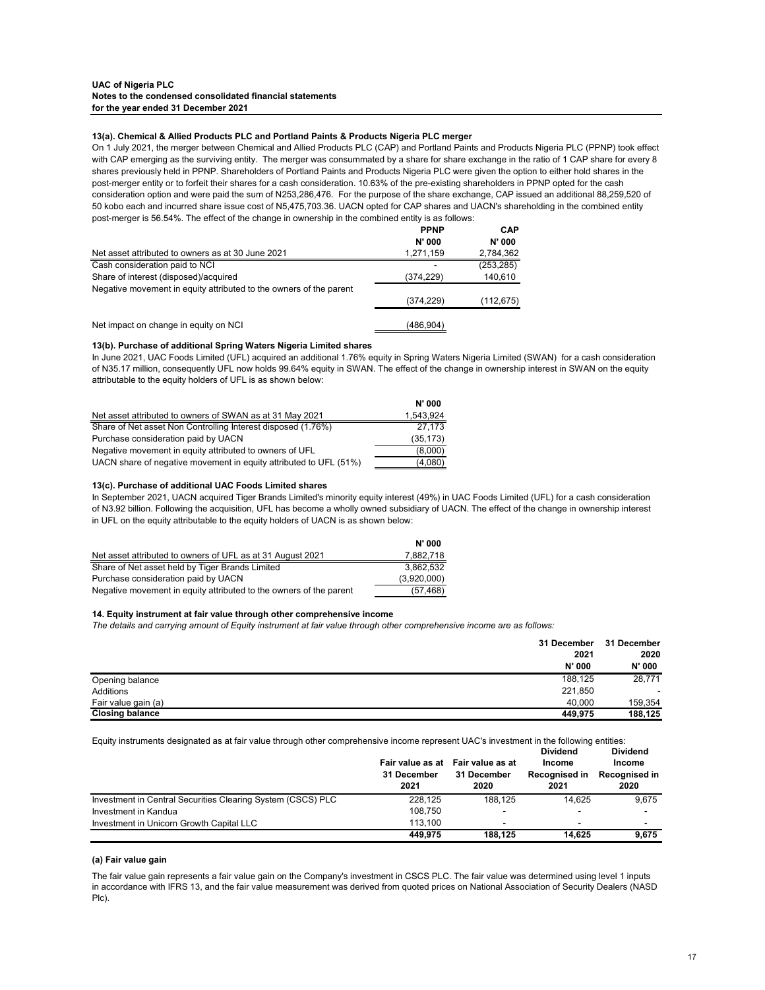#### **13(a). Chemical & Allied Products PLC and Portland Paints & Products Nigeria PLC merger**

#### **13(b). Purchase of additional Spring Waters Nigeria Limited shares**

## **13(c). Purchase of additional UAC Foods Limited shares**

#### **14. Equity instrument at fair value through other comprehensive income**

*The details and carrying amount of Equity instrument at fair value through other comprehensive income are as follows:*

|                        | 31 December | 31 December   |
|------------------------|-------------|---------------|
|                        | 2021        | 2020          |
|                        | N' 000      | <b>N' 000</b> |
| Opening balance        | 188,125     | 28,771        |
| Additions              | 221,850     |               |
| Fair value gain (a)    | 40,000      | 159,354       |
| <b>Closing balance</b> | 449,975     | 188,125       |

|                                                                   | <b>N' 000</b> |
|-------------------------------------------------------------------|---------------|
| Net asset attributed to owners of SWAN as at 31 May 2021          | 1,543,924     |
| Share of Net asset Non Controlling Interest disposed (1.76%)      | 27,173        |
| Purchase consideration paid by UACN                               | (35, 173)     |
| Negative movement in equity attributed to owners of UFL           | (8,000)       |
| UACN share of negative movement in equity attributed to UFL (51%) | (4,080)       |

|                                                             | 31 December<br>2021 | Fair value as at Fair value as at<br>31 December<br>2020 | <b>Dividend</b><br><b>Income</b><br><b>Recognised in</b><br>2021 | <b>Dividend</b><br><b>Income</b><br><b>Recognised in</b><br>2020 |
|-------------------------------------------------------------|---------------------|----------------------------------------------------------|------------------------------------------------------------------|------------------------------------------------------------------|
| Investment in Central Securities Clearing System (CSCS) PLC | 228,125             | 188,125                                                  | 14,625                                                           | 9,675                                                            |
| Investment in Kandua                                        | 108,750             | $\overline{\phantom{0}}$                                 | $\overline{\phantom{0}}$                                         | $\overline{\phantom{0}}$                                         |
| Investment in Unicorn Growth Capital LLC                    | 113.100             |                                                          | $\overline{\phantom{0}}$                                         | $\sim$                                                           |
|                                                             | 449,975             | 188,125                                                  | 14,625                                                           | 9,675                                                            |

#### **(a) Fair value gain**

In June 2021, UAC Foods Limited (UFL) acquired an additional 1.76% equity in Spring Waters Nigeria Limited (SWAN) for a cash consideration of N35.17 million, consequently UFL now holds 99.64% equity in SWAN. The effect of the change in ownership interest in SWAN on the equity attributable to the equity holders of UFL is as shown below:

|                                                                    | <b>PPNP</b> | <b>CAP</b> |
|--------------------------------------------------------------------|-------------|------------|
|                                                                    | N' 000      | N' 000     |
| Net asset attributed to owners as at 30 June 2021                  | 1,271,159   | 2,784,362  |
| Cash consideration paid to NCI                                     |             | (253, 285) |
| Share of interest (disposed)/acquired                              | (374, 229)  | 140,610    |
| Negative movement in equity attributed to the owners of the parent |             |            |
|                                                                    | (374, 229)  | (112,675)  |
| Net impact on change in equity on NCI                              | (486,904)   |            |

Equity instruments designated as at fair value through other comprehensive income represent UAC's investment in the following entities:

|                                                                    | <b>N'000</b> |
|--------------------------------------------------------------------|--------------|
| Net asset attributed to owners of UFL as at 31 August 2021         | 7,882,718    |
| Share of Net asset held by Tiger Brands Limited                    | 3,862,532    |
| Purchase consideration paid by UACN                                | (3,920,000)  |
| Negative movement in equity attributed to the owners of the parent | (57, 468)    |

On 1 July 2021, the merger between Chemical and Allied Products PLC (CAP) and Portland Paints and Products Nigeria PLC (PPNP) took effect with CAP emerging as the surviving entity. The merger was consummated by a share for share exchange in the ratio of 1 CAP share for every 8 shares previously held in PPNP. Shareholders of Portland Paints and Products Nigeria PLC were given the option to either hold shares in the post-merger entity or to forfeit their shares for a cash consideration. 10.63% of the pre-existing shareholders in PPNP opted for the cash consideration option and were paid the sum of N253,286,476. For the purpose of the share exchange, CAP issued an additional 88,259,520 of 50 kobo each and incurred share issue cost of N5,475,703.36. UACN opted for CAP shares and UACN's shareholding in the combined entity post-merger is 56.54%. The effect of the change in ownership in the combined entity is as follows:

The fair value gain represents a fair value gain on the Company's investment in CSCS PLC. The fair value was determined using level 1 inputs in accordance with IFRS 13, and the fair value measurement was derived from quoted prices on National Association of Security Dealers (NASD Plc).

In September 2021, UACN acquired Tiger Brands Limited's minority equity interest (49%) in UAC Foods Limited (UFL) for a cash consideration of N3.92 billion. Following the acquisition, UFL has become a wholly owned subsidiary of UACN. The effect of the change in ownership interest in UFL on the equity attributable to the equity holders of UACN is as shown below: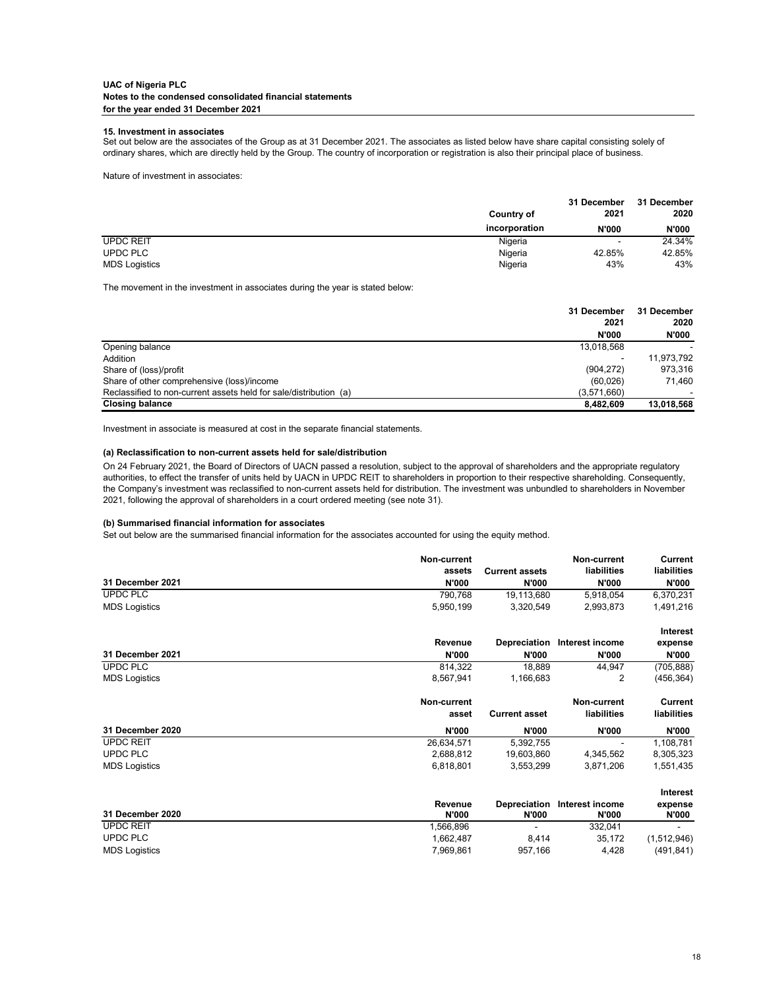#### **15. Investment in associates**

Nature of investment in associates:

|                      |                   | 31 December  | 31 December  |  |
|----------------------|-------------------|--------------|--------------|--|
|                      | <b>Country of</b> | 2021         | 2020         |  |
|                      | incorporation     | <b>N'000</b> | <b>N'000</b> |  |
| <b>UPDC REIT</b>     | Nigeria           |              | 24.34%       |  |
| UPDC PLC             | Nigeria           | 42.85%       | 42.85%       |  |
| <b>MDS Logistics</b> | Nigeria           | 43%          | 43%          |  |

The movement in the investment in associates during the year is stated below:

|                                                                   | 31 December  | 31 December  |  |
|-------------------------------------------------------------------|--------------|--------------|--|
|                                                                   | 2021         | 2020         |  |
|                                                                   | <b>N'000</b> | <b>N'000</b> |  |
| Opening balance                                                   | 13,018,568   |              |  |
| Addition                                                          |              | 11,973,792   |  |
| Share of (loss)/profit                                            | (904, 272)   | 973,316      |  |
| Share of other comprehensive (loss)/income                        | (60, 026)    | 71,460       |  |
| Reclassified to non-current assets held for sale/distribution (a) | (3,571,660)  |              |  |
| <b>Closing balance</b>                                            | 8,482,609    | 13,018,568   |  |

Investment in associate is measured at cost in the separate financial statements.

#### **(a) Reclassification to non-current assets held for sale/distribution**

#### **(b) Summarised financial information for associates**

Set out below are the summarised financial information for the associates accounted for using the equity method.

|                      | <b>Non-current</b>     |                                       | <b>Non-current</b>          | <b>Current</b>              |
|----------------------|------------------------|---------------------------------------|-----------------------------|-----------------------------|
| 31 December 2021     | assets<br><b>N'000</b> | <b>Current assets</b><br><b>N'000</b> | liabilities<br><b>N'000</b> | liabilities<br><b>N'000</b> |
| <b>UPDC PLC</b>      | 790,768                | 19,113,680                            | 5,918,054                   | 6,370,231                   |
| <b>MDS Logistics</b> | 5,950,199              | 3,320,549                             | 2,993,873                   | 1,491,216                   |
|                      |                        |                                       |                             | <b>Interest</b>             |
|                      | <b>Revenue</b>         | <b>Depreciation</b>                   | Interest income             | expense                     |
| 31 December 2021     | <b>N'000</b>           | <b>N'000</b>                          | <b>N'000</b>                | <b>N'000</b>                |
| <b>UPDC PLC</b>      | 814,322                | 18,889                                | 44,947                      | (705, 888)                  |
| <b>MDS Logistics</b> | 8,567,941              | 1,166,683                             | $\overline{2}$              | (456, 364)                  |
|                      | <b>Non-current</b>     |                                       | <b>Non-current</b>          | <b>Current</b>              |
|                      | asset                  | <b>Current asset</b>                  | liabilities                 | liabilities                 |
| 31 December 2020     | <b>N'000</b>           | <b>N'000</b>                          | <b>N'000</b>                | <b>N'000</b>                |
| <b>UPDC REIT</b>     | 26,634,571             | 5,392,755                             |                             | 1,108,781                   |
| <b>UPDC PLC</b>      | 2,688,812              | 19,603,860                            | 4,345,562                   | 8,305,323                   |
| <b>MDS Logistics</b> | 6,818,801              | 3,553,299                             | 3,871,206                   | 1,551,435                   |
|                      |                        |                                       |                             | <b>Interest</b>             |
|                      | <b>Revenue</b>         | <b>Depreciation</b>                   | Interest income             | expense                     |
| 31 December 2020     | <b>N'000</b>           | <b>N'000</b>                          | <b>N'000</b>                | <b>N'000</b>                |
| <b>UPDC REIT</b>     | 1,566,896              | $\overline{\phantom{a}}$              | 332,041                     |                             |
| <b>UPDC PLC</b>      | 1,662,487              | 8,414                                 | 35,172                      | (1,512,946)                 |
| <b>MDS Logistics</b> | 7,969,861              | 957,166                               | 4,428                       | (491, 841)                  |

Set out below are the associates of the Group as at 31 December 2021. The associates as listed below have share capital consisting solely of ordinary shares, which are directly held by the Group. The country of incorporation or registration is also their principal place of business.

On 24 February 2021, the Board of Directors of UACN passed a resolution, subject to the approval of shareholders and the appropriate regulatory authorities, to effect the transfer of units held by UACN in UPDC REIT to shareholders in proportion to their respective shareholding. Consequently, the Company's investment was reclassified to non-current assets held for distribution. The investment was unbundled to shareholders in November 2021, following the approval of shareholders in a court ordered meeting (see note 31).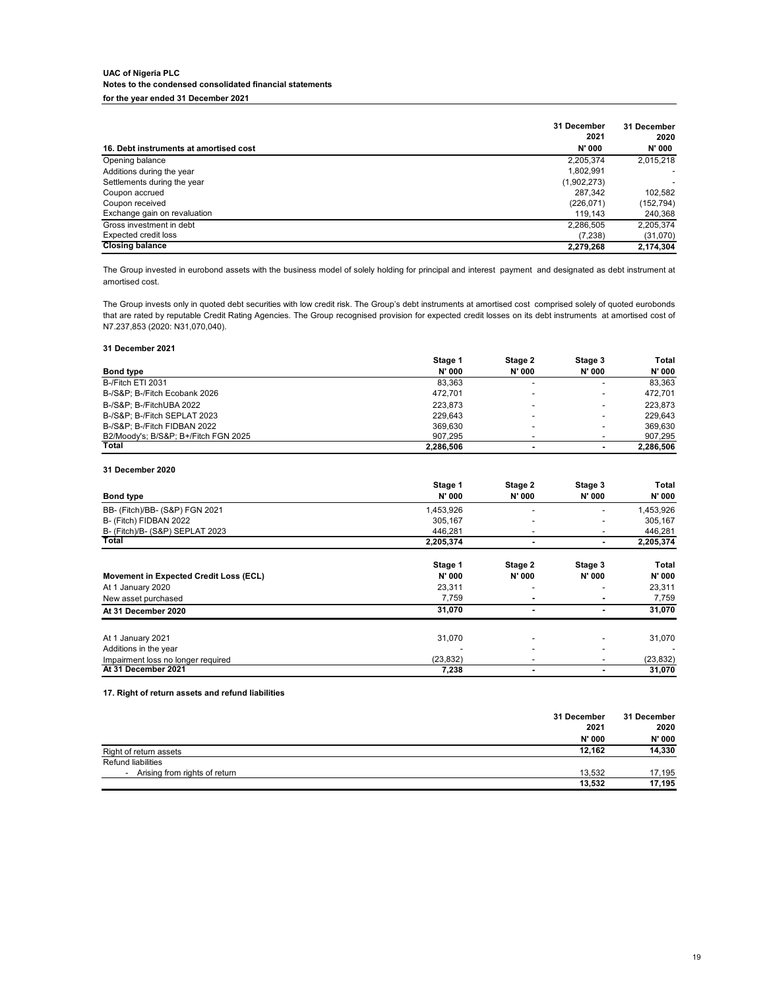|                                        | 31 December<br>2021 | 31 December<br>2020 |
|----------------------------------------|---------------------|---------------------|
| 16. Debt instruments at amortised cost | <b>N' 000</b>       | <b>N' 000</b>       |
| Opening balance                        | 2,205,374           | 2,015,218           |
| Additions during the year              | 1,802,991           |                     |
| Settlements during the year            | (1,902,273)         |                     |
| Coupon accrued                         | 287,342             | 102,582             |
| Coupon received                        | (226, 071)          | (152, 794)          |
| Exchange gain on revaluation           | 119,143             | 240,368             |
| Gross investment in debt               | 2,286,505           | 2,205,374           |
| Expected credit loss                   | (7, 238)            | (31,070)            |
| <b>Closing balance</b>                 | 2,279,268           | 2,174,304           |

**31 December 2021**

|                                     | Stage 1      | Stage 2      | Stage 3       | Total         |
|-------------------------------------|--------------|--------------|---------------|---------------|
| <b>Bond type</b>                    | <b>N'000</b> | <b>N'000</b> | <b>N' 000</b> | <b>N' 000</b> |
| B-/Fitch ETI 2031                   | 83,363       |              |               | 83,363        |
| B-/S&P B-/Fitch Ecobank 2026        | 472,701      |              |               | 472,701       |
| B-/S&P B-/FitchUBA 2022             | 223,873      |              |               | 223,873       |
| B-/S&P B-/Fitch SEPLAT 2023         | 229,643      |              |               | 229,643       |
| B-/S&P B-/Fitch FIDBAN 2022         | 369,630      | -            |               | 369,630       |
| B2/Moody's; B/S&P B+/Fitch FGN 2025 | 907,295      |              |               | 907,295       |
| Total                               | 2,286,506    |              |               | 2,286,506     |

#### **31 December 2020**

The Group invests only in quoted debt securities with low credit risk. The Group's debt instruments at amortised cost comprised solely of quoted eurobonds that are rated by reputable Credit Rating Agencies. The Group recognised provision for expected credit losses on its debt instruments at amortised cost of N7.237,853 (2020: N31,070,040).

|                                               | Stage 1      | Stage 2        | Stage 3                  | Total         |
|-----------------------------------------------|--------------|----------------|--------------------------|---------------|
| <b>Bond type</b>                              | <b>N'000</b> | <b>N'000</b>   | <b>N'000</b>             | <b>N'000</b>  |
| BB- (Fitch)/BB- (S&P) FGN 2021                | 1,453,926    |                | $\overline{\phantom{a}}$ | 1,453,926     |
| B- (Fitch) FIDBAN 2022                        | 305,167      |                |                          | 305,167       |
| B- (Fitch)/B- (S&P) SEPLAT 2023               | 446,281      |                |                          | 446,281       |
| Total                                         | 2,205,374    |                |                          | 2,205,374     |
|                                               | Stage 1      | Stage 2        | Stage 3                  | Total         |
| <b>Movement in Expected Credit Loss (ECL)</b> | <b>N'000</b> | <b>N'000</b>   | <b>N'000</b>             | <b>N' 000</b> |
| At 1 January 2020                             | 23,311       | ۰              |                          | 23,311        |
| New asset purchased                           | 7,759        |                |                          | 7,759         |
| At 31 December 2020                           | 31,070       | $\blacksquare$ | $\blacksquare$           | 31,070        |
| At 1 January 2021                             | 31,070       |                |                          | 31,070        |
| Additions in the year                         |              |                |                          |               |
| Impairment loss no longer required            | (23, 832)    | ۰              |                          | (23, 832)     |
| At 31 December 2021                           | 7,238        | $\blacksquare$ |                          | 31,070        |

#### **17. Right of return assets and refund liabilities**

|                                         | 31 December  | 31 December  |
|-----------------------------------------|--------------|--------------|
|                                         | 2021         | 2020         |
|                                         | <b>N'000</b> | <b>N'000</b> |
| Right of return assets                  | 12,162       | 14,330       |
| Refund liabilities                      |              |              |
| Arising from rights of return<br>$\sim$ | 13,532       | 17,195       |
|                                         | 13,532       | 17,195       |

The Group invested in eurobond assets with the business model of solely holding for principal and interest payment and designated as debt instrument at amortised cost.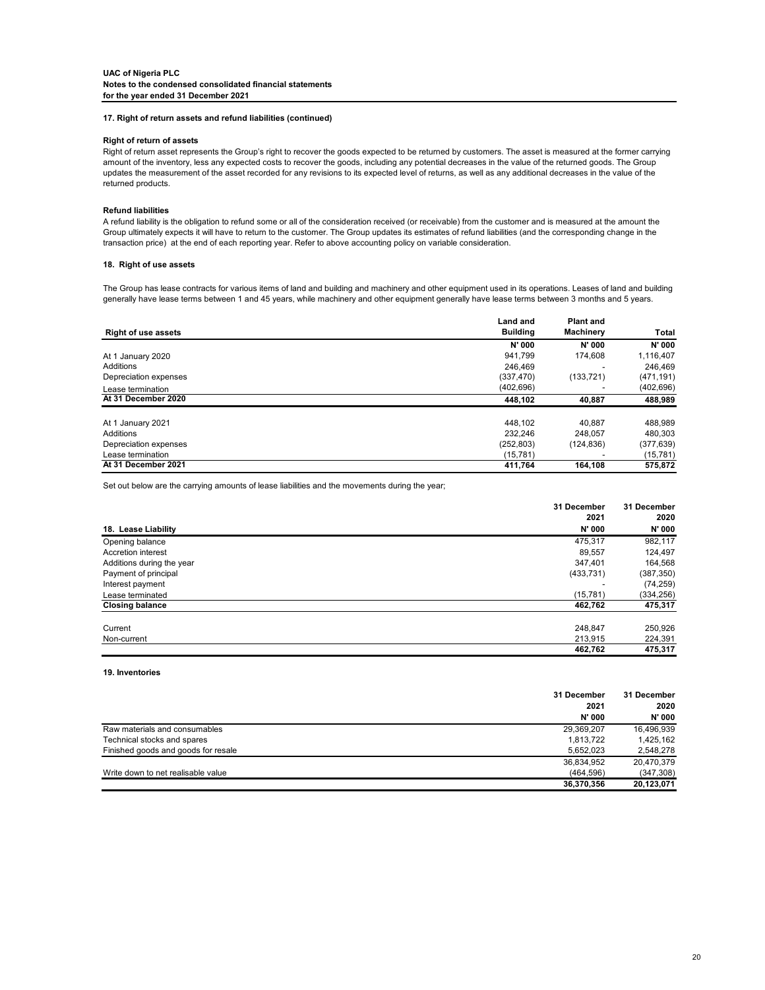#### **17. Right of return assets and refund liabilities (continued)**

#### **Right of return of assets**

#### **Refund liabilities**

#### **18. Right of use assets**

|                            | <b>Land and</b> | <b>Plant and</b> |               |
|----------------------------|-----------------|------------------|---------------|
| <b>Right of use assets</b> | <b>Building</b> | <b>Machinery</b> | <b>Total</b>  |
|                            | <b>N'000</b>    | N' 000           | <b>N' 000</b> |
| At 1 January 2020          | 941,799         | 174,608          | 1,116,407     |
| Additions                  | 246,469         |                  | 246,469       |
| Depreciation expenses      | (337, 470)      | (133, 721)       | (471, 191)    |
| Lease termination          | (402, 696)      |                  | (402, 696)    |
| At 31 December 2020        | 448,102         | 40,887           | 488,989       |
| At 1 January 2021          | 448,102         | 40,887           | 488,989       |
| Additions                  | 232,246         | 248,057          | 480,303       |
| Depreciation expenses      | (252, 803)      | (124, 836)       | (377, 639)    |
| Lease termination          | (15, 781)       |                  | (15,781)      |
| At 31 December 2021        | 411,764         | 164,108          | 575,872       |

Set out below are the carrying amounts of lease liabilities and the movements during the year;

|                           | 31 December   | 31 December   |
|---------------------------|---------------|---------------|
|                           | 2021          | 2020          |
| 18. Lease Liability       | <b>N' 000</b> | <b>N' 000</b> |
| Opening balance           | 475,317       | 982,117       |
| <b>Accretion interest</b> | 89,557        | 124,497       |
| Additions during the year | 347,401       | 164,568       |
| Payment of principal      | (433, 731)    | (387, 350)    |
| Interest payment          |               | (74, 259)     |
| Lease terminated          | (15, 781)     | (334, 256)    |
| <b>Closing balance</b>    | 462,762       | 475,317       |
| Current                   | 248,847       | 250,926       |
| Non-current               | 213,915       | 224,391       |
|                           | 462,762       | 475,317       |

Right of return asset represents the Group's right to recover the goods expected to be returned by customers. The asset is measured at the former carrying amount of the inventory, less any expected costs to recover the goods, including any potential decreases in the value of the returned goods. The Group updates the measurement of the asset recorded for any revisions to its expected level of returns, as well as any additional decreases in the value of the returned products.

**19. Inventories**

|                                     | 31 December   | 31 December<br>2020<br><b>N'000</b> |
|-------------------------------------|---------------|-------------------------------------|
|                                     | 2021          |                                     |
|                                     | <b>N' 000</b> |                                     |
| Raw materials and consumables       | 29,369,207    | 16,496,939                          |
| Technical stocks and spares         | 1,813,722     | 1,425,162                           |
| Finished goods and goods for resale | 5,652,023     | 2,548,278                           |
|                                     | 36,834,952    | 20,470,379                          |
| Write down to net realisable value  | (464, 596)    | (347, 308)                          |
|                                     | 36,370,356    | 20,123,071                          |

The Group has lease contracts for various items of land and building and machinery and other equipment used in its operations. Leases of land and building generally have lease terms between 1 and 45 years, while machinery and other equipment generally have lease terms between 3 months and 5 years.

A refund liability is the obligation to refund some or all of the consideration received (or receivable) from the customer and is measured at the amount the Group ultimately expects it will have to return to the customer. The Group updates its estimates of refund liabilities (and the corresponding change in the transaction price) at the end of each reporting year. Refer to above accounting policy on variable consideration.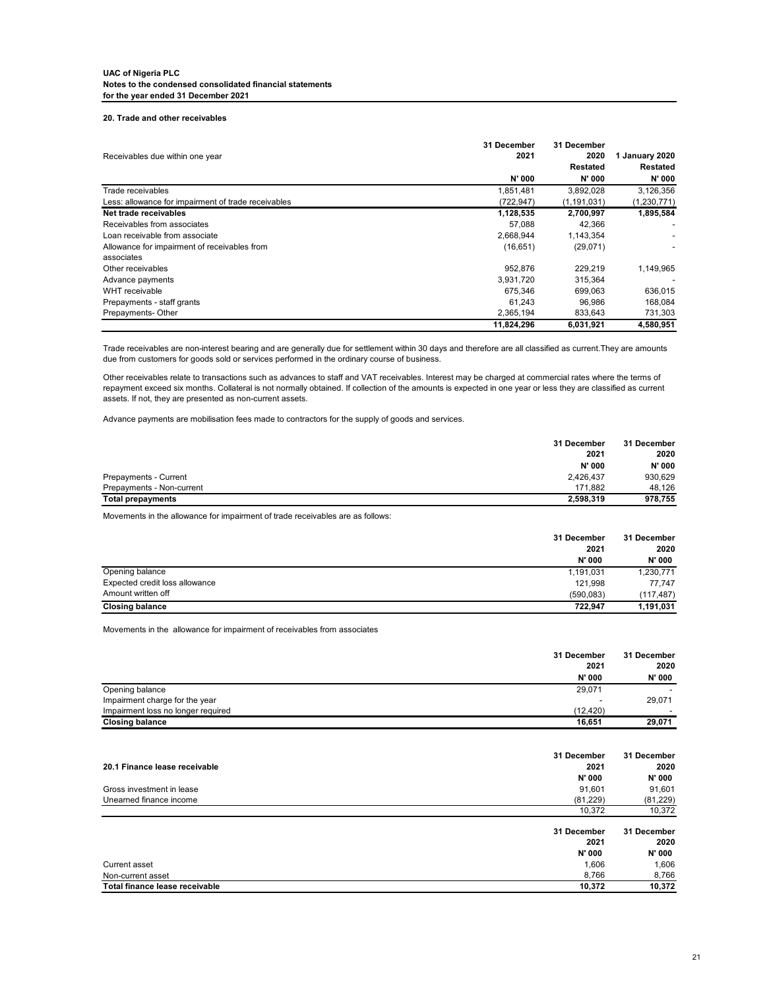#### **20. Trade and other receivables**

| Receivables due within one year                     | 31 December<br>2021 | 31 December<br>2020 | 1 January 2020  |
|-----------------------------------------------------|---------------------|---------------------|-----------------|
|                                                     |                     | <b>Restated</b>     | <b>Restated</b> |
|                                                     | <b>N'000</b>        | <b>N'000</b>        | <b>N'000</b>    |
| Trade receivables                                   | 1,851,481           | 3,892,028           | 3,126,356       |
| Less: allowance for impairment of trade receivables | (722,947)           | (1, 191, 031)       | (1,230,771)     |
| Net trade receivables                               | 1,128,535           | 2,700,997           | 1,895,584       |
| Receivables from associates                         | 57,088              | 42,366              |                 |
| Loan receivable from associate                      | 2,668,944           | 1,143,354           |                 |
| Allowance for impairment of receivables from        | (16, 651)           | (29,071)            |                 |
| associates                                          |                     |                     |                 |
| Other receivables                                   | 952,876             | 229,219             | 1,149,965       |
| Advance payments                                    | 3,931,720           | 315,364             |                 |
| WHT receivable                                      | 675,346             | 699,063             | 636,015         |
| Prepayments - staff grants                          | 61,243              | 96,986              | 168,084         |
| Prepayments-Other                                   | 2,365,194           | 833,643             | 731,303         |
|                                                     | 11,824,296          | 6,031,921           | 4,580,951       |

|                              | 31 December | 31 December  |
|------------------------------|-------------|--------------|
|                              | 2021        | 2020         |
|                              | N' 000      | <b>N'000</b> |
| <b>Prepayments - Current</b> | 2,426,437   | 930,629      |
| Prepayments - Non-current    | 171,882     | 48,126       |
| <b>Total prepayments</b>     | 2,598,319   | 978,755      |

Movements in the allowance for impairment of trade receivables are as follows:

|                                | 31 December   | 31 December   |
|--------------------------------|---------------|---------------|
|                                | 2021          | 2020          |
|                                | <b>N' 000</b> | <b>N' 000</b> |
| Opening balance                | 1,191,031     | 1,230,771     |
| Expected credit loss allowance | 121,998       | 77,747        |
| Amount written off             | (590, 083)    | (117, 487)    |
| <b>Closing balance</b>         | 722,947       | 1,191,031     |

Movements in the allowance for impairment of receivables from associates

|                                       | 31 December  | 31 December   |
|---------------------------------------|--------------|---------------|
|                                       | 2021         | 2020          |
|                                       | N' 000       | <b>N'000</b>  |
| Opening balance                       | 29,071       |               |
| Impairment charge for the year        |              | 29,071        |
| Impairment loss no longer required    | (12, 420)    |               |
| <b>Closing balance</b>                | 16,651       | 29,071        |
|                                       |              |               |
|                                       | 31 December  | 31 December   |
| 20.1 Finance lease receivable         | 2021         | 2020          |
|                                       | N' 000       | <b>N' 000</b> |
| Gross investment in lease             | 91,601       | 91,601        |
| Unearned finance income               | (81, 229)    | (81, 229)     |
|                                       | 10,372       | 10,372        |
|                                       | 31 December  | 31 December   |
|                                       | 2021         | 2020          |
|                                       | <b>N'000</b> | <b>N' 000</b> |
| <b>Current asset</b>                  | 1,606        | 1,606         |
| Non-current asset                     | 8,766        | 8,766         |
| <b>Total finance lease receivable</b> | 10,372       | 10,372        |

Trade receivables are non-interest bearing and are generally due for settlement within 30 days and therefore are all classified as current.They are amounts due from customers for goods sold or services performed in the ordinary course of business.

Other receivables relate to transactions such as advances to staff and VAT receivables. Interest may be charged at commercial rates where the terms of repayment exceed six months. Collateral is not normally obtained. If collection of the amounts is expected in one year or less they are classified as current assets. If not, they are presented as non-current assets.

Advance payments are mobilisation fees made to contractors for the supply of goods and services.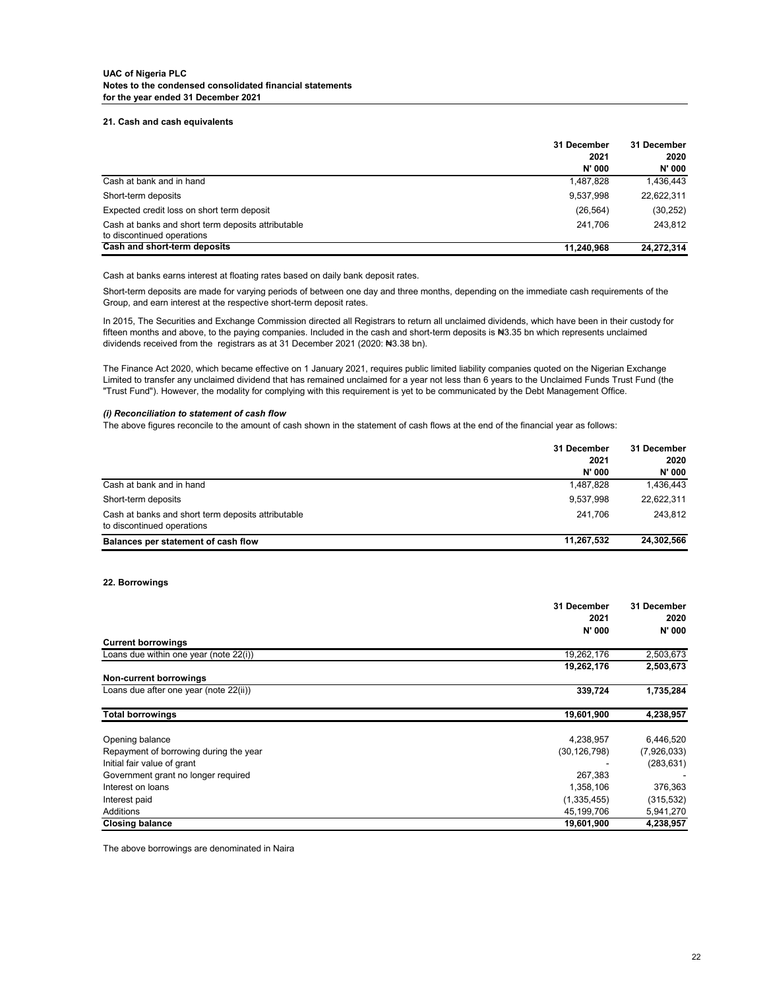#### **21. Cash and cash equivalents**

|                                                                                  | 31 December<br>2021 | 31 December<br>2020<br><b>N' 000</b> |
|----------------------------------------------------------------------------------|---------------------|--------------------------------------|
|                                                                                  | <b>N' 000</b>       |                                      |
| Cash at bank and in hand                                                         | 1,487,828           | 1,436,443                            |
| Short-term deposits                                                              | 9,537,998           | 22,622,311                           |
| Expected credit loss on short term deposit                                       | (26, 564)           | (30, 252)                            |
| Cash at banks and short term deposits attributable<br>to discontinued operations | 241,706             | 243,812                              |
| Cash and short-term deposits                                                     | 11,240,968          | 24,272,314                           |

#### *(i) Reconciliation to statement of cash flow*

|                                                                                  | 31 December | 31 December<br>2020<br><b>N' 000</b> |
|----------------------------------------------------------------------------------|-------------|--------------------------------------|
|                                                                                  | 2021        |                                      |
|                                                                                  | N' 000      |                                      |
| Cash at bank and in hand                                                         | 1,487,828   | 1,436,443                            |
| Short-term deposits                                                              | 9,537,998   | 22,622,311                           |
| Cash at banks and short term deposits attributable<br>to discontinued operations | 241,706     | 243,812                              |
| Balances per statement of cash flow                                              | 11,267,532  | 24,302,566                           |

#### **22. Borrowings**

|                                        | 31 December<br>2021 | 31 December<br>2020 |
|----------------------------------------|---------------------|---------------------|
|                                        | N' 000              | <b>N' 000</b>       |
| <b>Current borrowings</b>              |                     |                     |
| Loans due within one year (note 22(i)) | 19,262,176          | 2,503,673           |
|                                        | 19,262,176          | 2,503,673           |
| <b>Non-current borrowings</b>          |                     |                     |
| Loans due after one year (note 22(ii)) | 339,724             | 1,735,284           |
| <b>Total borrowings</b>                | 19,601,900          | 4,238,957           |

In 2015, The Securities and Exchange Commission directed all Registrars to return all unclaimed dividends, which have been in their custody for fifteen months and above, to the paying companies. Included in the cash and short-term deposits is N3.35 bn which represents unclaimed dividends received from the registrars as at 31 December 2021 (2020:  $\text{H}3.38$  bn).

| Opening balance                        | 4,238,957      | 6,446,520   |
|----------------------------------------|----------------|-------------|
| Repayment of borrowing during the year | (30, 126, 798) | (7,926,033) |
| Initial fair value of grant            | -              | (283, 631)  |
| Government grant no longer required    | 267,383        |             |
| Interest on loans                      | 1,358,106      | 376,363     |
| Interest paid                          | (1,335,455)    | (315, 532)  |
| Additions                              | 45,199,706     | 5,941,270   |
| <b>Closing balance</b>                 | 19,601,900     | 4,238,957   |

The above borrowings are denominated in Naira

The Finance Act 2020, which became effective on 1 January 2021, requires public limited liability companies quoted on the Nigerian Exchange Limited to transfer any unclaimed dividend that has remained unclaimed for a year not less than 6 years to the Unclaimed Funds Trust Fund (the "Trust Fund"). However, the modality for complying with this requirement is yet to be communicated by the Debt Management Office.

Cash at banks earns interest at floating rates based on daily bank deposit rates.

Short-term deposits are made for varying periods of between one day and three months, depending on the immediate cash requirements of the Group, and earn interest at the respective short-term deposit rates.

The above figures reconcile to the amount of cash shown in the statement of cash flows at the end of the financial year as follows: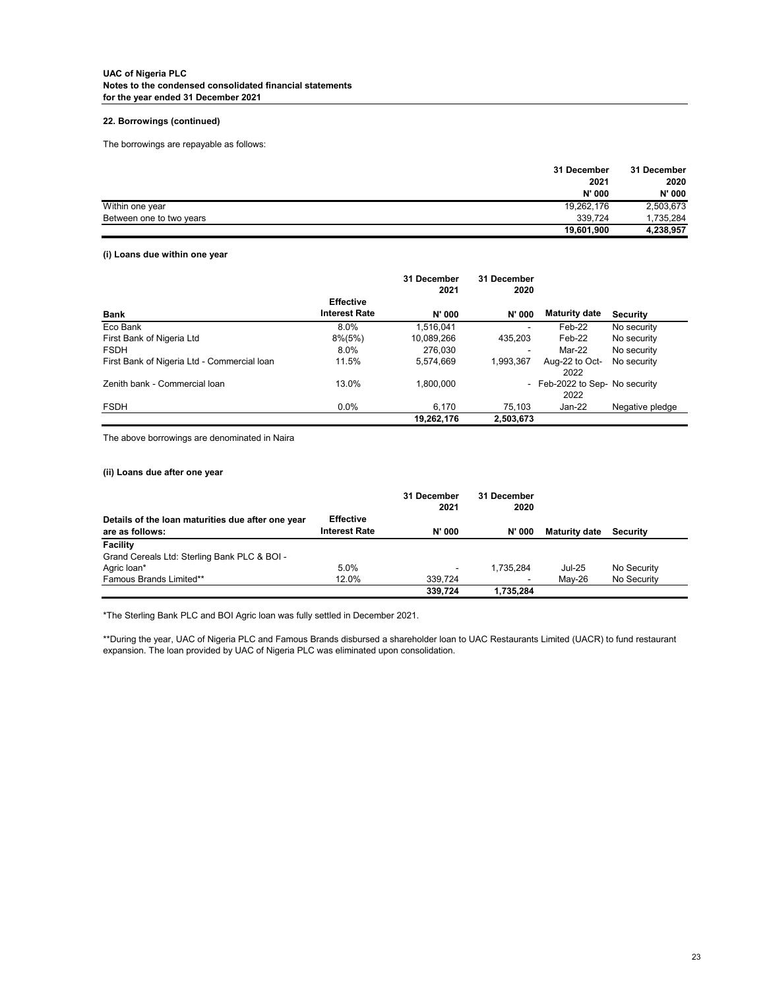# **22. Borrowings (continued)**

The borrowings are repayable as follows:

|                          | 31 December   | 31 December  |
|--------------------------|---------------|--------------|
|                          | 2021          | 2020         |
|                          | <b>N' 000</b> | <b>N'000</b> |
| Within one year          | 19,262,176    | 2,503,673    |
| Between one to two years | 339,724       | 1,735,284    |
|                          | 19,601,900    | 4,238,957    |

#### **(i) Loans due within one year**

|                                             |                                          | 31 December<br>2021 | 31 December<br>2020      |                                        |                 |
|---------------------------------------------|------------------------------------------|---------------------|--------------------------|----------------------------------------|-----------------|
| <b>Bank</b>                                 | <b>Effective</b><br><b>Interest Rate</b> | N' 000              | N' 000                   | <b>Maturity date</b>                   | <b>Security</b> |
| Eco Bank                                    | 8.0%                                     | 1,516,041           | $\overline{\phantom{a}}$ | Feb-22                                 | No security     |
| First Bank of Nigeria Ltd                   | $8\%(5\%)$                               | 10,089,266          | 435,203                  | Feb-22                                 | No security     |
| <b>FSDH</b>                                 | 8.0%                                     | 276,030             | $\overline{\phantom{a}}$ | Mar-22                                 | No security     |
| First Bank of Nigeria Ltd - Commercial Ioan | 11.5%                                    | 5,574,669           | 1,993,367                | Aug-22 to Oct-<br>2022                 | No security     |
| Zenith bank - Commercial loan               | 13.0%                                    | 1,800,000           |                          | - Feb-2022 to Sep- No security<br>2022 |                 |
| <b>FSDH</b>                                 | 0.0%                                     | 6,170               | 75,103                   | $Jan-22$                               | Negative pledge |
|                                             |                                          | 19,262,176          | 2,503,673                |                                        |                 |

The above borrowings are denominated in Naira

**(ii) Loans due after one year**

|                                                                      |                                          | 31 December<br>2021 | 31 December<br>2020 |                      |                 |
|----------------------------------------------------------------------|------------------------------------------|---------------------|---------------------|----------------------|-----------------|
| Details of the loan maturities due after one year<br>are as follows: | <b>Effective</b><br><b>Interest Rate</b> | N' 000              | <b>N' 000</b>       | <b>Maturity date</b> | <b>Security</b> |
| <b>Facility</b>                                                      |                                          |                     |                     |                      |                 |
| Grand Cereals Ltd: Sterling Bank PLC & BOI -                         |                                          |                     |                     |                      |                 |
| Agric loan*                                                          | 5.0%                                     |                     | 1,735,284           | <b>Jul-25</b>        | No Security     |
| <b>Famous Brands Limited**</b>                                       | 12.0%                                    | 339,724             | $\sim$              | $Mav-26$             | No Security     |
|                                                                      |                                          | 339,724             | 1,735,284           |                      |                 |

\*\*During the year, UAC of Nigeria PLC and Famous Brands disbursed a shareholder loan to UAC Restaurants Limited (UACR) to fund restaurant expansion. The loan provided by UAC of Nigeria PLC was eliminated upon consolidation.

\*The Sterling Bank PLC and BOI Agric loan was fully settled in December 2021.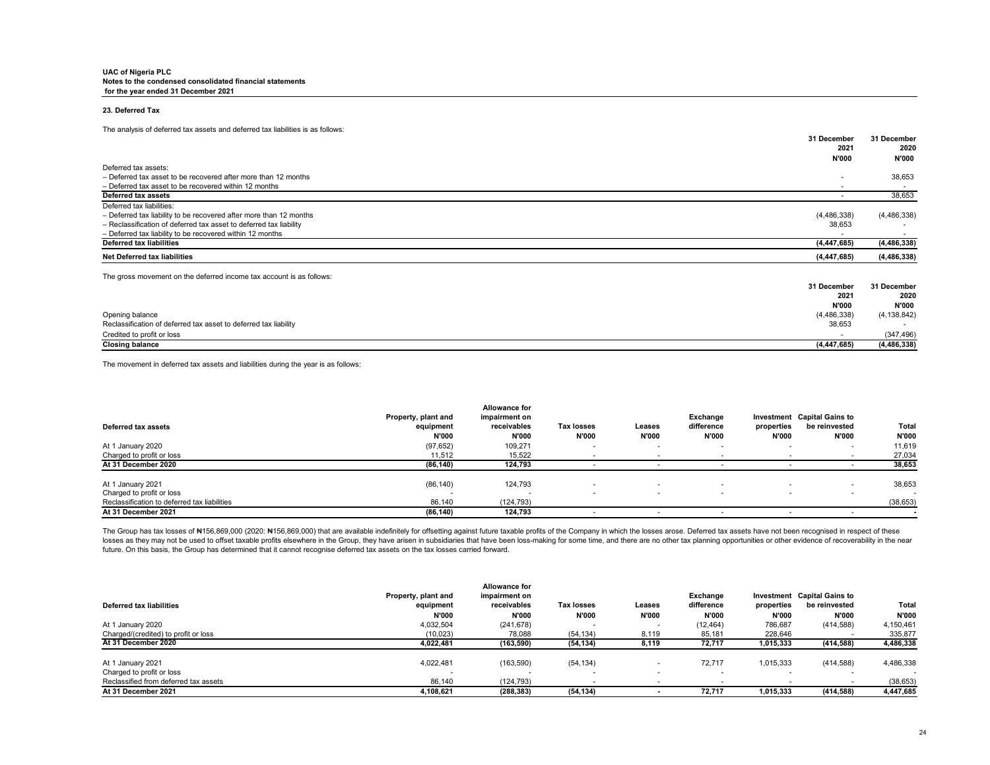#### **23. Deferred Tax**

| – Deferred tax asset to be recovered after more than 12 months     |               | 38,653        |
|--------------------------------------------------------------------|---------------|---------------|
| - Deferred tax asset to be recovered within 12 months              |               |               |
| Deferred tax assets                                                |               | 38,653        |
| Deferred tax liabilities:                                          |               |               |
| - Deferred tax liability to be recovered after more than 12 months | (4, 486, 338) | (4, 486, 338) |
| - Reclassification of deferred tax asset to deferred tax liability | 38,653        |               |
| - Deferred tax liability to be recovered within 12 months          |               |               |
| <b>Deferred tax liabilities</b>                                    | (4, 447, 685) | (4, 486, 338) |
| <b>Net Deferred tax liabilities</b>                                | (4.447.685)   | (4.486.338)   |

| The analysis of deferred tax assets and deferred tax liabilities is as follows: | 31 December<br>2021<br><b>N'000</b> | 31 December<br>2020<br><b>N'000</b> |
|---------------------------------------------------------------------------------|-------------------------------------|-------------------------------------|
| Deferred tax assets:                                                            |                                     |                                     |
| - Deferred tax asset to be recovered after more than 12 months                  |                                     | 38,653                              |
| - Deferred tax asset to be recovered within 12 months                           | $\sim$                              |                                     |
| Deferred tax assets                                                             | $\sim$                              | 38,653                              |
| Deferred tax liabilities:                                                       |                                     |                                     |
| - Deferred tax liability to be recovered after more than 12 months              | (4, 486, 338)                       | (4,486,338)                         |
| - Reclassification of deferred tax asset to deferred tax liability              | 38,653                              |                                     |
| - Deferred tax liability to be recovered within 12 months                       |                                     |                                     |
| <b>Deferred tax liabilities</b>                                                 | (4, 447, 685)                       | (4, 486, 338)                       |
| <b>Net Deferred tax liabilities</b>                                             | (4, 447, 685)                       | (4, 486, 338)                       |
| The gross movement on the deferred income tax account is as follows:            |                                     |                                     |
|                                                                                 | 31 December                         | 31 December                         |
|                                                                                 | 2021                                | 2020                                |
|                                                                                 | <b>N'000</b>                        | <b>N'000</b>                        |
| Opening balance                                                                 | (4, 486, 338)                       | (4, 138, 842)                       |
| Reclassification of deferred tax asset to deferred tax liability                | 38,653                              |                                     |
| Credited to profit or loss                                                      |                                     | (347, 496)                          |
| <b>Closing balance</b>                                                          | (4, 447, 685)                       | (4, 486, 338)                       |

| <b>Deferred tax assets</b>                   | Property, plant and<br>equipment<br><b>N'000</b> | <b>Allowance for</b><br>impairment on<br>receivables<br><b>N'000</b> | <b>Tax losses</b><br><b>N'000</b> | Leases<br><b>N'000</b> | <b>Exchange</b><br>difference<br><b>N'000</b> | properties<br><b>N'000</b> | <b>Investment</b> Capital Gains to<br>be reinvested<br><b>N'000</b> | <b>Total</b><br><b>N'000</b> |
|----------------------------------------------|--------------------------------------------------|----------------------------------------------------------------------|-----------------------------------|------------------------|-----------------------------------------------|----------------------------|---------------------------------------------------------------------|------------------------------|
| At 1 January 2020                            | (97, 652)                                        | 109,271                                                              |                                   |                        |                                               |                            |                                                                     | 11,619                       |
| Charged to profit or loss                    | 11,512                                           | 15,522                                                               |                                   |                        |                                               |                            |                                                                     | 27,034                       |
| At 31 December 2020                          | (86, 140)                                        | 124,793                                                              |                                   |                        |                                               |                            |                                                                     | 38,653                       |
| At 1 January 2021                            | (86, 140)                                        | 124,793                                                              |                                   |                        |                                               |                            |                                                                     | 38,653                       |
| Charged to profit or loss                    |                                                  |                                                                      |                                   |                        |                                               |                            |                                                                     |                              |
| Reclassification to deferred tax liabilities | 86,140                                           | (124, 793)                                                           |                                   |                        |                                               |                            |                                                                     | (38, 653)                    |
| At 31 December 2021                          | (86, 140)                                        | 124,793                                                              |                                   |                        |                                               |                            |                                                                     |                              |

The Group has tax losses of N156,869,000 (2020: N156,869,000) that are available indefinitely for offsetting against future taxable profits of the Company in which the losses arose. Deferred tax assets have not been recogn losses as they may not be used to offset taxable profits elsewhere in the Group, they have arisen in subsidiaries that have been loss-making for some time, and there are no other tax planning opportunities or other evidenc future. On this basis, the Group has determined that it cannot recognise deferred tax assets on the tax losses carried forward.

| Deferred tax liabilities              | Property, plant and<br>equipment<br><b>N'000</b> | <b>Allowance for</b><br>impairment on<br>receivables<br><b>N'000</b> | Tax losses<br><b>N'000</b> | Leases<br><b>N'000</b> | <b>Exchange</b><br>difference<br><b>N'000</b> | properties<br><b>N'000</b> | <b>Investment</b> Capital Gains to<br>be reinvested<br><b>N'000</b> | <b>Total</b><br><b>N'000</b> |
|---------------------------------------|--------------------------------------------------|----------------------------------------------------------------------|----------------------------|------------------------|-----------------------------------------------|----------------------------|---------------------------------------------------------------------|------------------------------|
| At 1 January 2020                     | 4,032,504                                        | (241, 678)                                                           |                            |                        | (12, 464)                                     | 786,687                    | (414,588)                                                           | 4,150,461                    |
| Charged/(credited) to profit or loss  | (10, 023)                                        | 78,088                                                               | (54, 134)                  | 8,119                  | 85,181                                        | 228,646                    |                                                                     | 335,877                      |
| At 31 December 2020                   | 4,022,481                                        | (163, 590)                                                           | (54, 134)                  | 8,119                  | 72,717                                        | 1,015,333                  | (414, 588)                                                          | 4,486,338                    |
| At 1 January 2021                     | 4,022,481                                        | (163, 590)                                                           | (54, 134)                  |                        | 72,717                                        | 1,015,333                  | (414,588)                                                           | 4,486,338                    |
| Charged to profit or loss             |                                                  |                                                                      |                            |                        |                                               | $\overline{\phantom{0}}$   |                                                                     |                              |
| Reclassified from deferred tax assets | 86,140                                           | (124, 793)                                                           |                            |                        |                                               |                            |                                                                     | (38, 653)                    |
| At 31 December 2021                   | 4,108,621                                        | (288, 383)                                                           | (54, 134)                  |                        | 72,717                                        | 1,015,333                  | (414,588)                                                           | 4,447,685                    |

The movement in deferred tax assets and liabilities during the year is as follows: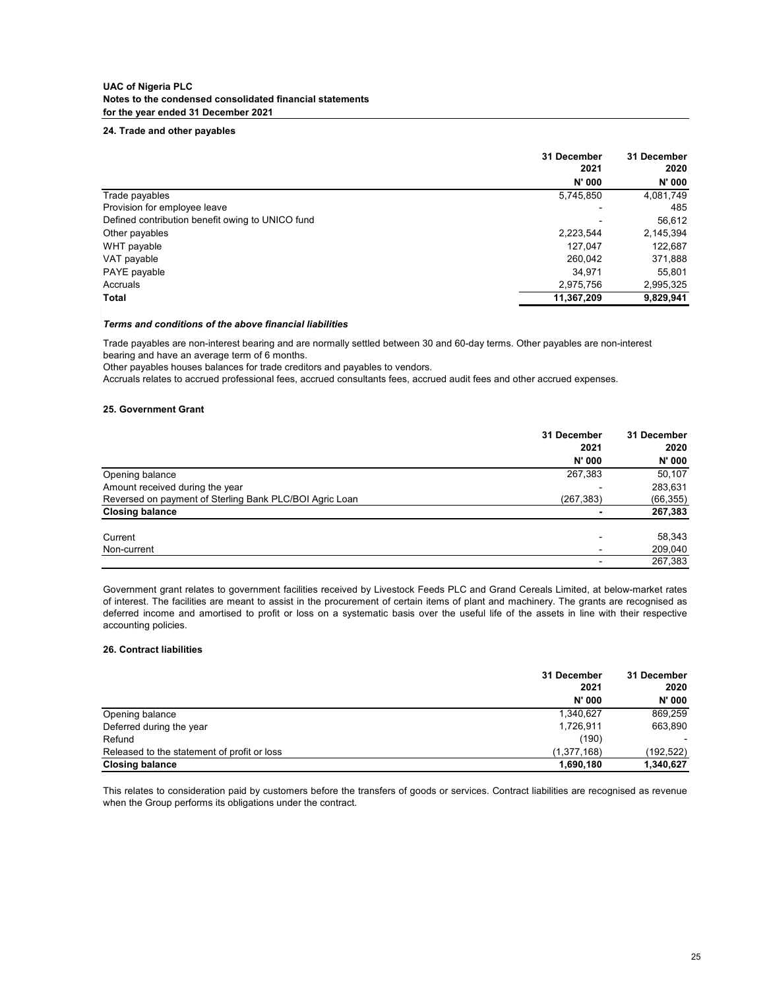#### **24. Trade and other payables**

|                                                  | 31 December          | 31 December          |
|--------------------------------------------------|----------------------|----------------------|
|                                                  | 2021<br><b>N'000</b> | 2020<br><b>N'000</b> |
| Trade payables                                   | 5,745,850            | 4,081,749            |
| Provision for employee leave                     |                      | 485                  |
| Defined contribution benefit owing to UNICO fund |                      | 56,612               |
| Other payables                                   | 2,223,544            | 2,145,394            |
| WHT payable                                      | 127,047              | 122,687              |
| VAT payable                                      | 260,042              | 371,888              |
| PAYE payable                                     | 34,971               | 55,801               |
| Accruals                                         | 2,975,756            | 2,995,325            |
| <b>Total</b>                                     | 11,367,209           | 9,829,941            |

#### *Terms and conditions of the above financial liabilities*

Accruals relates to accrued professional fees, accrued consultants fees, accrued audit fees and other accrued expenses.

#### **25. Government Grant**

|                                                         | 31 December | 31 December |
|---------------------------------------------------------|-------------|-------------|
|                                                         | 2021        | 2020        |
|                                                         | N' 000      | N' 000      |
| Opening balance                                         | 267,383     | 50,107      |
| Amount received during the year                         |             | 283,631     |
| Reversed on payment of Sterling Bank PLC/BOI Agric Loan | (267, 383)  | (66, 355)   |
| <b>Closing balance</b>                                  |             | 267,383     |
| Current                                                 |             | 58,343      |
| Non-current                                             |             | 209,040     |
|                                                         |             | 267,383     |

#### **26. Contract liabilities**

|                                             | 31 December   | 31 December  |
|---------------------------------------------|---------------|--------------|
|                                             | 2021          | 2020         |
|                                             | <b>N' 000</b> | <b>N'000</b> |
| Opening balance                             | 1,340,627     | 869,259      |
| Deferred during the year                    | 1,726,911     | 663,890      |
| Refund                                      | (190)         |              |
| Released to the statement of profit or loss | (1, 377, 168) | (192,522)    |
| <b>Closing balance</b>                      | 1,690,180     | 1,340,627    |

This relates to consideration paid by customers before the transfers of goods or services. Contract liabilities are recognised as revenue when the Group performs its obligations under the contract.

Other payables houses balances for trade creditors and payables to vendors.

Government grant relates to government facilities received by Livestock Feeds PLC and Grand Cereals Limited, at below-market rates of interest. The facilities are meant to assist in the procurement of certain items of plant and machinery. The grants are recognised as deferred income and amortised to profit or loss on a systematic basis over the useful life of the assets in line with their respective accounting policies.

Trade payables are non-interest bearing and are normally settled between 30 and 60-day terms. Other payables are non-interest bearing and have an average term of 6 months.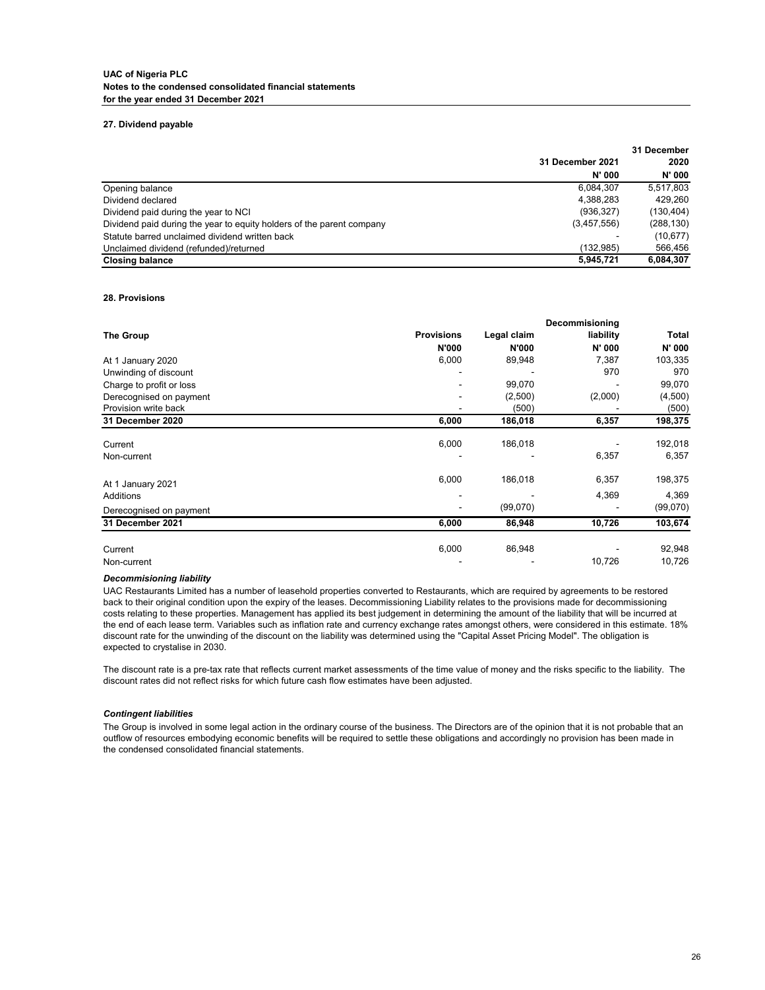#### **27. Dividend payable**

|                                                                       |                         | 31 December   |
|-----------------------------------------------------------------------|-------------------------|---------------|
|                                                                       | <b>31 December 2021</b> |               |
|                                                                       | N' 000                  | <b>N' 000</b> |
| Opening balance                                                       | 6,084,307               | 5,517,803     |
| Dividend declared                                                     | 4,388,283               | 429,260       |
| Dividend paid during the year to NCI                                  | (936, 327)              | (130,404)     |
| Dividend paid during the year to equity holders of the parent company | (3,457,556)             | (288, 130)    |
| Statute barred unclaimed dividend written back                        |                         | (10,677)      |
| Unclaimed dividend (refunded)/returned                                | (132,985)               | 566,456       |
| <b>Closing balance</b>                                                | 5,945,721               | 6,084,307     |

#### **28. Provisions**

|                          |                   |              | Decommisioning |               |
|--------------------------|-------------------|--------------|----------------|---------------|
| <b>The Group</b>         | <b>Provisions</b> | Legal claim  | liability      | <b>Total</b>  |
|                          | <b>N'000</b>      | <b>N'000</b> | <b>N' 000</b>  | <b>N' 000</b> |
| At 1 January 2020        | 6,000             | 89,948       | 7,387          | 103,335       |
| Unwinding of discount    |                   |              | 970            | 970           |
| Charge to profit or loss |                   | 99,070       |                | 99,070        |
| Derecognised on payment  |                   | (2,500)      | (2,000)        | (4,500)       |
| Provision write back     |                   | (500)        |                | (500)         |
| 31 December 2020         | 6,000             | 186,018      | 6,357          | 198,375       |
| Current                  | 6,000             | 186,018      |                | 192,018       |
| Non-current              |                   |              | 6,357          | 6,357         |
| At 1 January 2021        | 6,000             | 186,018      | 6,357          | 198,375       |
| Additions                |                   |              | 4,369          | 4,369         |
| Derecognised on payment  |                   | (99,070)     |                | (99,070)      |
| 31 December 2021         | 6,000             | 86,948       | 10,726         | 103,674       |
| Current                  | 6,000             | 86,948       |                | 92,948        |
| Non-current              |                   |              | 10,726         | 10,726        |

#### *Decommisioning liability*

#### *Contingent liabilities*

The Group is involved in some legal action in the ordinary course of the business. The Directors are of the opinion that it is not probable that an outflow of resources embodying economic benefits will be required to settle these obligations and accordingly no provision has been made in the condensed consolidated financial statements.

The discount rate is a pre-tax rate that reflects current market assessments of the time value of money and the risks specific to the liability. The discount rates did not reflect risks for which future cash flow estimates have been adjusted.

UAC Restaurants Limited has a number of leasehold properties converted to Restaurants, which are required by agreements to be restored back to their original condition upon the expiry of the leases. Decommissioning Liability relates to the provisions made for decommissioning costs relating to these properties. Management has applied its best judgement in determining the amount of the liability that will be incurred at the end of each lease term. Variables such as inflation rate and currency exchange rates amongst others, were considered in this estimate. 18% discount rate for the unwinding of the discount on the liability was determined using the "Capital Asset Pricing Model". The obligation is expected to crystalise in 2030.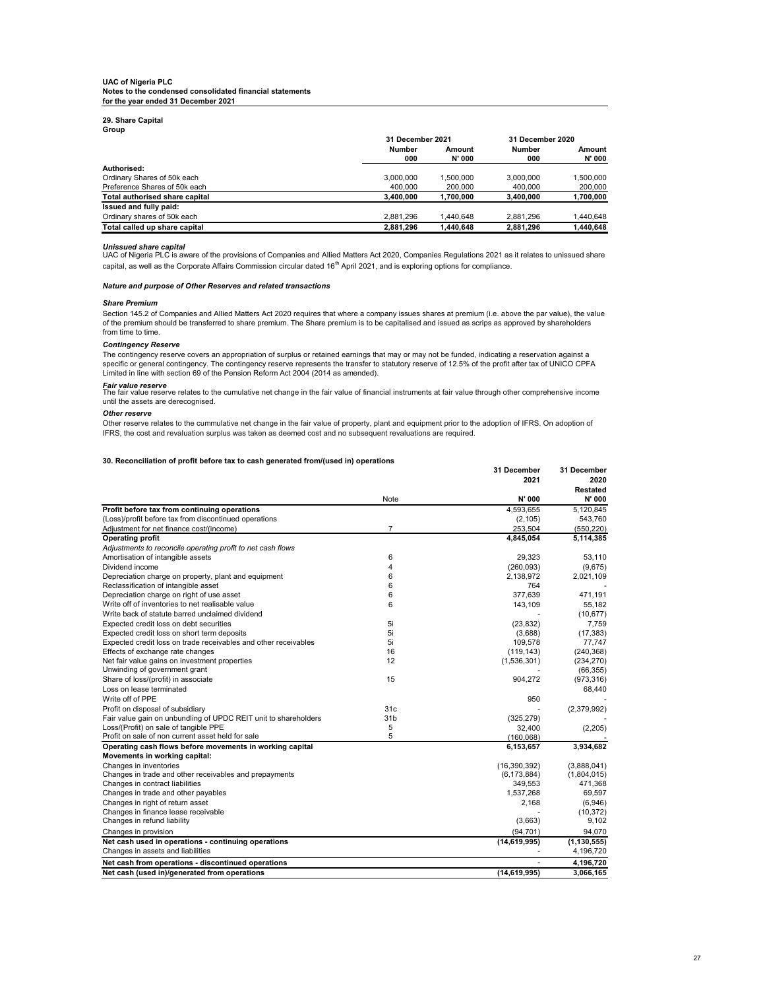# **29. Share Capital**

**Group** 

## *Unissued share capital*

#### *Share Premium*

#### *Contingency Reserve*

#### *Fair value reserve*

#### *Other reserve*

#### **30. Reconciliation of profit before tax to cash generated from/(used in) operations**

Section 145.2 of Companies and Allied Matters Act 2020 requires that where a company issues shares at premium (i.e. above the par value), the value of the premium should be transferred to share premium. The Share premium is to be capitalised and issued as scrips as approved by shareholders from time to time.

|                                       | <b>31 December 2021</b> |               | <b>31 December 2020</b> |               |
|---------------------------------------|-------------------------|---------------|-------------------------|---------------|
|                                       | <b>Number</b>           | <b>Amount</b> | <b>Number</b>           | <b>Amount</b> |
|                                       | 000                     | <b>N'000</b>  | 000                     | <b>N' 000</b> |
| <b>Authorised:</b>                    |                         |               |                         |               |
| Ordinary Shares of 50k each           | 3,000,000               | 1,500,000     | 3,000,000               | 1,500,000     |
| Preference Shares of 50k each         | 400,000                 | 200,000       | 400,000                 | 200,000       |
| <b>Total authorised share capital</b> | 3,400,000               | 1,700,000     | 3,400,000               | 1,700,000     |
| <b>Issued and fully paid:</b>         |                         |               |                         |               |
| Ordinary shares of 50k each           | 2,881,296               | 1,440,648     | 2,881,296               | 440,648,      |
| Total called up share capital         | 2,881,296               | 1,440,648     | 2,881,296               | 1,440,648     |

The fair value reserve relates to the cumulative net change in the fair value of financial instruments at fair value through other comprehensive income until the assets are derecognised.

UAC of Nigeria PLC is aware of the provisions of Companies and Allied Matters Act 2020, Companies Regulations 2021 as it relates to unissued share capital, as well as the Corporate Affairs Commission circular dated 16<sup>th</sup> April 2021, and is exploring options for compliance.

|                                                                 |                 | 31 December    | 31 December             |
|-----------------------------------------------------------------|-----------------|----------------|-------------------------|
|                                                                 |                 | 2021           | 2020<br><b>Restated</b> |
|                                                                 | <b>Note</b>     | <b>N' 000</b>  | <b>N' 000</b>           |
| Profit before tax from continuing operations                    |                 | 4,593,655      | 5,120,845               |
| (Loss)/profit before tax from discontinued operations           |                 | (2, 105)       | 543,760                 |
| Adjustment for net finance cost/(income)                        | $\overline{7}$  | 253,504        | (550, 220)              |
| <b>Operating profit</b>                                         |                 | 4,845,054      | 5,114,385               |
| Adjustments to reconcile operating profit to net cash flows     |                 |                |                         |
| Amortisation of intangible assets                               | 6               | 29,323         | 53,110                  |
| Dividend income                                                 | 4               | (260,093)      | (9,675)                 |
| Depreciation charge on property, plant and equipment            | 6               | 2,138,972      | 2,021,109               |
| Reclassification of intangible asset                            | 6               | 764            |                         |
| Depreciation charge on right of use asset                       | 6               | 377,639        | 471,191                 |
| Write off of inventories to net realisable value                | 6               | 143,109        | 55,182                  |
| Write back of statute barred unclaimed dividend                 |                 |                | (10, 677)               |
| Expected credit loss on debt securities                         | 5i              | (23, 832)      | 7,759                   |
| Expected credit loss on short term deposits                     | 5i              | (3,688)        | (17, 383)               |
| Expected credit loss on trade receivables and other receivables | 5i              | 109,578        | 77,747                  |
| Effects of exchange rate changes                                | 16              | (119, 143)     | (240, 368)              |
| Net fair value gains on investment properties                   | 12              | (1,536,301)    | (234, 270)              |
| Unwinding of government grant                                   |                 |                | (66, 355)               |
| Share of loss/(profit) in associate                             | 15              | 904,272        | (973, 316)              |
| Loss on lease terminated                                        |                 |                | 68,440                  |
| Write off of PPE                                                |                 | 950            |                         |
| Profit on disposal of subsidiary                                | 31c             |                | (2,379,992)             |
| Fair value gain on unbundling of UPDC REIT unit to shareholders | 31 <sub>b</sub> | (325, 279)     |                         |
| Loss/(Profit) on sale of tangible PPE                           | 5               | 32,400         | (2,205)                 |
| Profit on sale of non current asset held for sale               | 5               | (160,068)      |                         |
| Operating cash flows before movements in working capital        |                 | 6,153,657      | 3,934,682               |
| <b>Movements in working capital:</b>                            |                 |                |                         |
| Changes in inventories                                          |                 | (16, 390, 392) | (3,888,041)             |
| Changes in trade and other receivables and prepayments          |                 | (6, 173, 884)  | (1,804,015)             |
| Changes in contract liabilities                                 |                 | 349,553        | 471,368                 |
| Changes in trade and other payables                             |                 | 1,537,268      | 69,597                  |
| Changes in right of return asset                                |                 | 2,168          | (6,946)                 |
| Changes in finance lease receivable                             |                 |                | (10, 372)               |
| Changes in refund liability                                     |                 | (3,663)        | 9,102                   |
| Changes in provision                                            |                 | (94, 701)      | 94,070                  |
| Net cash used in operations - continuing operations             |                 | (14, 619, 995) | (1, 130, 555)           |
| Changes in assets and liabilities                               |                 |                | 4,196,720               |
| Net cash from operations - discontinued operations              |                 |                | 4,196,720               |
| Net cash (used in)/generated from operations                    |                 | (14, 619, 995) | 3,066,165               |

The contingency reserve covers an appropriation of surplus or retained earnings that may or may not be funded, indicating a reservation against a specific or general contingency. The contingency reserve represents the transfer to statutory reserve of 12.5% of the profit after tax of UNICO CPFA Limited in line with section 69 of the Pension Reform Act 2004 (2014 as amended).

#### *Nature and purpose of Other Reserves and related transactions*

Other reserve relates to the cummulative net change in the fair value of property, plant and equipment prior to the adoption of IFRS. On adoption of IFRS, the cost and revaluation surplus was taken as deemed cost and no subsequent revaluations are required.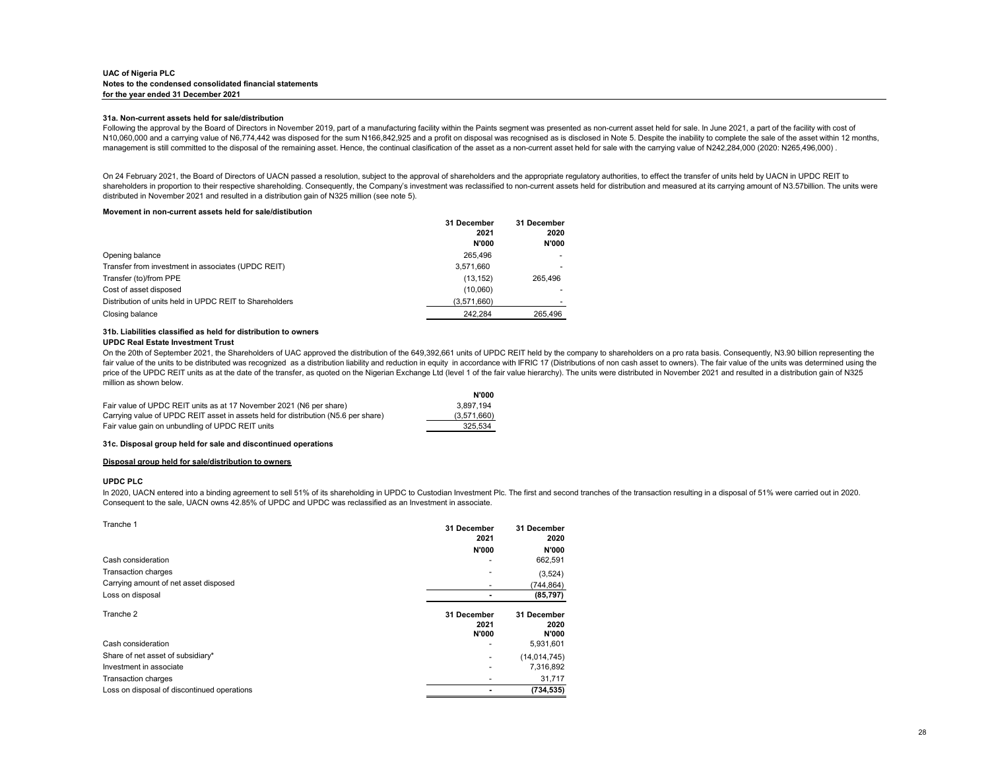#### **31a. Non-current assets held for sale/distribution**

Following the approval by the Board of Directors in November 2019, part of a manufacturing facility within the Paints segment was presented as non-current asset held for sale. In June 2021, a part of the facility with cost N10,060,000 and a carrying value of N6,774,442 was disposed for the sum N166,842,925 and a profit on disposal was recognised as is disclosed in Note 5. Despite the inability to complete the sale of the asset within 12 mont management is still committed to the disposal of the remaining asset. Hence, the continual clasification of the asset as a non-current asset held for sale with the carrying value of N242,284,000 (2020: N265,496,000).

#### **Movement in non-current assets held for sale/distibution**

|                                                         | 31 December  | 31 December  |
|---------------------------------------------------------|--------------|--------------|
|                                                         | 2021         | 2020         |
|                                                         | <b>N'000</b> | <b>N'000</b> |
| Opening balance                                         | 265,496      |              |
| Transfer from investment in associates (UPDC REIT)      | 3,571,660    |              |
| Transfer (to)/from PPE                                  | (13, 152)    | 265,496      |
| Cost of asset disposed                                  | (10,060)     |              |
| Distribution of units held in UPDC REIT to Shareholders | (3,571,660)  |              |
| Closing balance                                         | 242,284      | 265,496      |

# **31b. Liabilities classified as held for distribution to owners**

#### **UPDC Real Estate Investment Trust**

|                                                                                    | N'000       |
|------------------------------------------------------------------------------------|-------------|
| Fair value of UPDC REIT units as at 17 November 2021 (N6 per share)                | 3,897,194   |
| Carrying value of UPDC REIT asset in assets held for distribution (N5.6 per share) | (3,571,660) |
| Fair value gain on unbundling of UPDC REIT units                                   | 325,534     |

**31c. Disposal group held for sale and discontinued operations**

#### **Disposal group held for sale/distribution to owners**

#### **UPDC PLC**

| Tranche 1                                   | 31 December<br>2021<br><b>N'000</b> | 31 December<br>2020<br><b>N'000</b> |
|---------------------------------------------|-------------------------------------|-------------------------------------|
| Cash consideration                          | ٠                                   | 662,591                             |
| <b>Transaction charges</b>                  |                                     | (3,524)                             |
| Carrying amount of net asset disposed       |                                     | (744, 864)                          |
| Loss on disposal                            |                                     | (85, 797)                           |
| Tranche 2                                   | 31 December<br>2021<br><b>N'000</b> | 31 December<br>2020<br><b>N'000</b> |
| Cash consideration                          | ٠                                   | 5,931,601                           |
| Share of net asset of subsidiary*           | -                                   | (14, 014, 745)                      |
| Investment in associate                     | $\overline{a}$                      | 7,316,892                           |
| <b>Transaction charges</b>                  |                                     | 31,717                              |
| Loss on disposal of discontinued operations |                                     | (734, 535)                          |

On the 20th of September 2021, the Shareholders of UAC approved the distribution of the 649,392,661 units of UPDC REIT held by the company to shareholders on a pro rata basis. Consequently, N3.90 billion representing the fair value of the units to be distributed was recognized as a distribution liability and reduction in equity in accordance with IFRIC 17 (Distributions of non cash asset to owners). The fair value of the units was determin price of the UPDC REIT units as at the date of the transfer, as quoted on the Nigerian Exchange Ltd (level 1 of the fair value hierarchy). The units were distributed in November 2021 and resulted in a distribution gain of million as shown below.

In 2020, UACN entered into a binding agreement to sell 51% of its shareholding in UPDC to Custodian Investment Plc. The first and second tranches of the transaction resulting in a disposal of 51% were carried out in 2020. Consequent to the sale, UACN owns 42.85% of UPDC and UPDC was reclassified as an Investment in associate.

On 24 February 2021, the Board of Directors of UACN passed a resolution, subject to the approval of shareholders and the appropriate regulatory authorities, to effect the transfer of units held by UACN in UPDC REIT to shareholders in proportion to their respective shareholding. Consequently, the Company's investment was reclassified to non-current assets held for distribution and measured at its carrying amount of N3.57billion. The unit distributed in November 2021 and resulted in a distribution gain of N325 million (see note 5).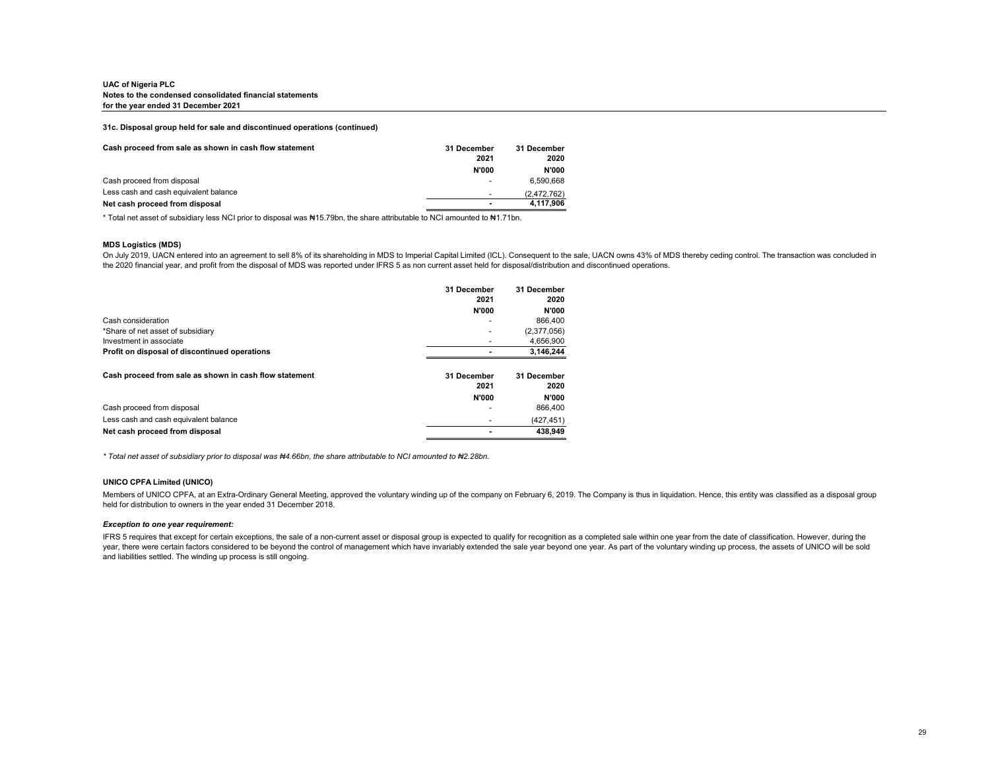#### **31c. Disposal group held for sale and discontinued operations (continued)**

| Cash proceed from sale as shown in cash flow statement | 31 December<br>2021      | 31 December<br>2020 |
|--------------------------------------------------------|--------------------------|---------------------|
|                                                        | <b>N'000</b>             | N'000               |
| Cash proceed from disposal                             | ۰                        | 6,590,668           |
| Less cash and cash equivalent balance                  | $\overline{\phantom{a}}$ | (2,472,762)         |
| Net cash proceed from disposal                         |                          | 4,117,906           |

\* Total net asset of subsidiary less NCI prior to disposal was Nethting. the share attributable to NCI amounted to N1.71bn.

### **MDS Logistics (MDS)**

|                                                        | 31 December              | 31 December  |
|--------------------------------------------------------|--------------------------|--------------|
|                                                        | 2021                     | 2020         |
|                                                        | <b>N'000</b>             | <b>N'000</b> |
| Cash consideration                                     |                          | 866,400      |
| *Share of net asset of subsidiary                      | $\overline{\phantom{0}}$ | (2,377,056)  |
| Investment in associate                                | $\overline{\phantom{a}}$ | 4,656,900    |
| Profit on disposal of discontinued operations          |                          | 3,146,244    |
|                                                        |                          |              |
| Cash proceed from sale as shown in cash flow statement | 31 December              | 31 December  |
|                                                        | 2021                     | 2020         |
|                                                        | <b>N'000</b>             | <b>N'000</b> |
|                                                        |                          |              |
| Cash proceed from disposal                             |                          | 866,400      |
| Less cash and cash equivalent balance                  |                          | (427, 451)   |

\* Total net asset of subsidiary prior to disposal was #4.66bn, the share attributable to NCI amounted to #2.28bn.

IFRS 5 requires that except for certain exceptions, the sale of a non-current asset or disposal group is expected to qualify for recognition as a completed sale within one year from the date of classification. However, dur year, there were certain factors considered to be beyond the control of management which have invariably extended the sale year beyond one year. As part of the voluntary winding up process, the assets of UNICO will be sold and liabilities settled. The winding up process is still ongoing.

#### **UNICO CPFA Limited (UNICO)**

#### *Exception to one year requirement:*

On July 2019, UACN entered into an agreement to sell 8% of its shareholding in MDS to Imperial Capital Limited (ICL). Consequent to the sale, UACN owns 43% of MDS thereby ceding control. The transaction was concluded in the 2020 financial year, and profit from the disposal of MDS was reported under IFRS 5 as non current asset held for disposal/distribution and discontinued operations.

Members of UNICO CPFA, at an Extra-Ordinary General Meeting, approved the voluntary winding up of the company on February 6, 2019. The Company is thus in liquidation. Hence, this entity was classified as a disposal group held for distribution to owners in the year ended 31 December 2018.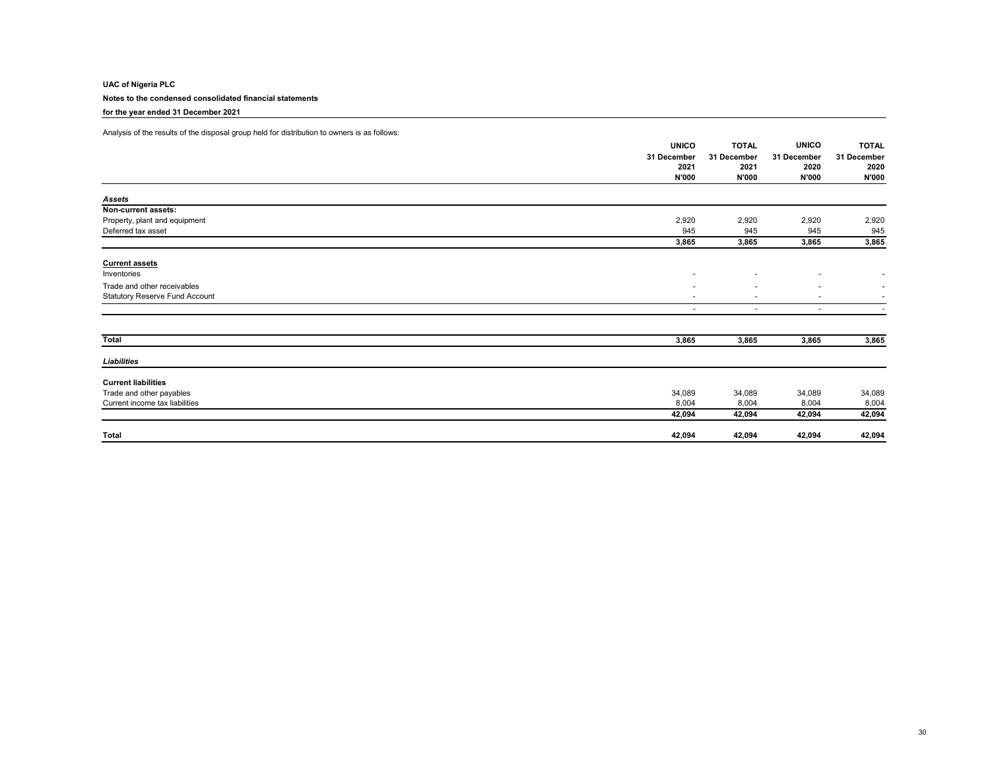#### *Assets*

| Analysis of the results of the disposal group held for distribution to owners is as follows: |                          |                          |                          |                          |
|----------------------------------------------------------------------------------------------|--------------------------|--------------------------|--------------------------|--------------------------|
|                                                                                              | <b>UNICO</b>             | <b>TOTAL</b>             | <b>UNICO</b>             | <b>TOTAL</b>             |
|                                                                                              | 31 December              | 31 December              | 31 December              | 31 December              |
|                                                                                              | 2021                     | 2021                     | 2020                     | 2020                     |
|                                                                                              | <b>N'000</b>             | <b>N'000</b>             | <b>N'000</b>             | <b>N'000</b>             |
| <b>Assets</b>                                                                                |                          |                          |                          |                          |
| <b>Non-current assets:</b>                                                                   |                          |                          |                          |                          |
| Property, plant and equipment                                                                | 2,920                    | 2,920                    | 2,920                    | 2,920                    |
| Deferred tax asset                                                                           | 945                      | 945                      | 945                      | 945                      |
|                                                                                              | 3,865                    | 3,865                    | 3,865                    | 3,865                    |
| <b>Current assets</b>                                                                        |                          |                          |                          |                          |
| Inventories                                                                                  | $\overline{\phantom{0}}$ |                          |                          | $\overline{\phantom{a}}$ |
| Trade and other receivables                                                                  | $\sim$                   | $\sim$                   | $\sim$                   | $\sim$                   |
| <b>Statutory Reserve Fund Account</b>                                                        | $\sim$                   |                          | $\overline{\phantom{0}}$ |                          |
|                                                                                              |                          | $\overline{\phantom{a}}$ | $\overline{\phantom{0}}$ |                          |

## **Current assets**

#### *Liabilities*

| Total                          | 3,865  | 3,865  | 3,865  | 3,865  |
|--------------------------------|--------|--------|--------|--------|
|                                |        |        |        |        |
| Liabilities                    |        |        |        |        |
|                                |        |        |        |        |
| <b>Current liabilities</b>     |        |        |        |        |
| Trade and other payables       | 34,089 | 34,089 | 34,089 | 34,089 |
| Current income tax liabilities | 8,004  | 8,004  | 8,004  | 8,004  |
|                                | 42,094 | 42,094 | 42,094 | 42,094 |
|                                |        |        |        |        |
| Total                          | 42,094 | 42,094 | 42,094 | 42,094 |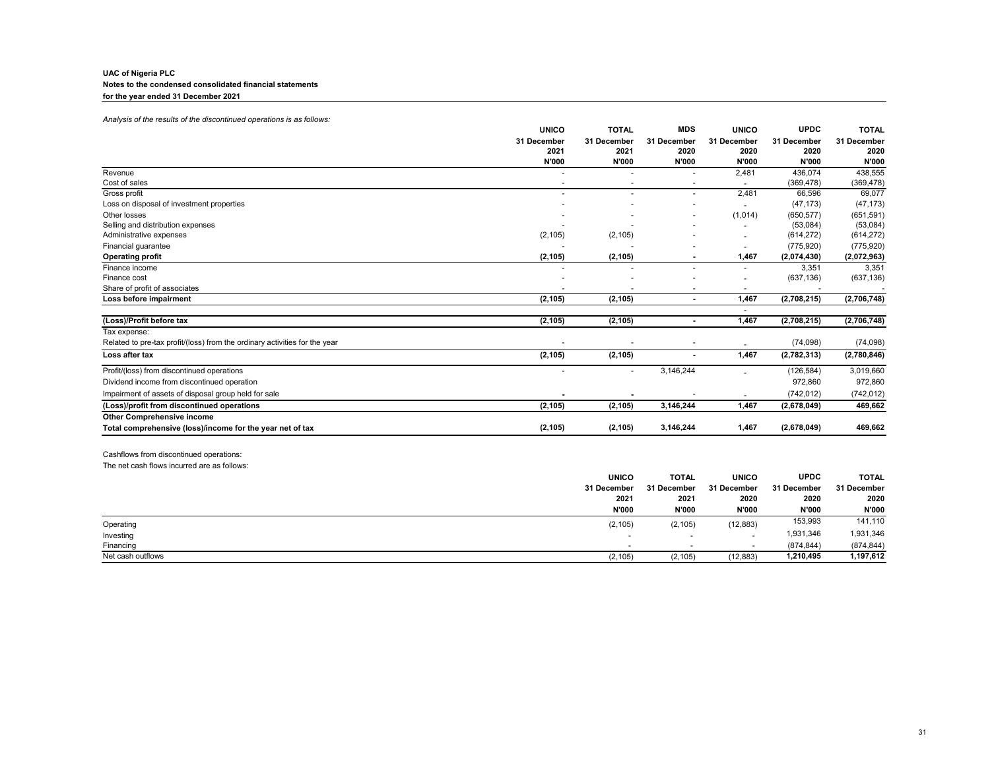| Analysis of the results of the discontinued operations is as follows:      |                          |                          |                          |                          |              |              |
|----------------------------------------------------------------------------|--------------------------|--------------------------|--------------------------|--------------------------|--------------|--------------|
|                                                                            | <b>UNICO</b>             | <b>TOTAL</b>             | <b>MDS</b>               | <b>UNICO</b>             | <b>UPDC</b>  | <b>TOTAL</b> |
|                                                                            | 31 December              | 31 December              | 31 December              | 31 December              | 31 December  | 31 December  |
|                                                                            | 2021                     | 2021                     | 2020                     | 2020                     | 2020         | 2020         |
|                                                                            | <b>N'000</b>             | <b>N'000</b>             | <b>N'000</b>             | <b>N'000</b>             | <b>N'000</b> | <b>N'000</b> |
| Revenue                                                                    |                          | $\blacksquare$           | $\overline{\phantom{a}}$ | 2,481                    | 436,074      | 438,555      |
| Cost of sales                                                              | $\overline{\phantom{0}}$ | $\overline{\phantom{a}}$ | $\overline{\phantom{a}}$ | $\sim$                   | (369, 478)   | (369, 478)   |
| Gross profit                                                               | $\sim$                   | $\sim$                   | $\blacksquare$           | 2,481                    | 66,596       | 69,077       |
| Loss on disposal of investment properties                                  |                          |                          |                          |                          | (47, 173)    | (47, 173)    |
| Other losses                                                               |                          |                          |                          | (1,014)                  | (650, 577)   | (651, 591)   |
| Selling and distribution expenses                                          |                          |                          |                          |                          | (53,084)     | (53,084)     |
| Administrative expenses                                                    | (2, 105)                 | (2, 105)                 |                          | $\overline{\phantom{a}}$ | (614, 272)   | (614, 272)   |
| Financial guarantee                                                        |                          |                          |                          |                          | (775, 920)   | (775, 920)   |
| <b>Operating profit</b>                                                    | (2, 105)                 | (2, 105)                 |                          | 1,467                    | (2,074,430)  | (2,072,963)  |
| Finance income                                                             |                          |                          | $\sim$                   | $\sim$                   | 3,351        | 3,351        |
| Finance cost                                                               |                          |                          |                          | $\overline{\phantom{a}}$ | (637, 136)   | (637, 136)   |
| Share of profit of associates                                              |                          |                          |                          |                          |              |              |
| Loss before impairment                                                     | (2, 105)                 | (2, 105)                 | $\blacksquare$           | 1,467                    | (2,708,215)  | (2,706,748)  |
| (Loss)/Profit before tax                                                   | (2, 105)                 | (2, 105)                 |                          | $\sim$<br>1,467          | (2,708,215)  | (2,706,748)  |
| Tax expense:                                                               |                          |                          |                          |                          |              |              |
| Related to pre-tax profit/(loss) from the ordinary activities for the year |                          |                          |                          |                          | (74,098)     | (74,098)     |
| Loss after tax                                                             | (2, 105)                 | (2, 105)                 |                          | 1,467                    | (2,782,313)  | (2,780,846)  |
| Profit/(loss) from discontinued operations                                 |                          | $\sim$                   | 3,146,244                |                          | (126, 584)   | 3,019,660    |
| Dividend income from discontinued operation                                |                          |                          |                          |                          | 972,860      | 972,860      |
| Impairment of assets of disposal group held for sale                       |                          |                          |                          |                          | (742, 012)   | (742, 012)   |
| (Loss)/profit from discontinued operations                                 | (2, 105)                 | (2, 105)                 | 3,146,244                | 1,467                    | (2,678,049)  | 469,662      |
| <b>Other Comprehensive income</b>                                          |                          |                          |                          |                          |              |              |
| Total comprehensive (loss)/income for the year net of tax                  | (2, 105)                 | (2, 105)                 | 3,146,244                | 1,467                    | (2,678,049)  | 469,662      |
| Cashflows from discontinued operations:                                    |                          |                          |                          |                          |              |              |
| The net cash flows incurred are as follows:                                |                          |                          |                          |                          |              |              |
|                                                                            |                          | <b>UNICO</b>             | <b>TOTAL</b>             | <b>UNICO</b>             | <b>UPDC</b>  | <b>TOTAL</b> |

|                   | <b>UNICO</b>             | <b>TOTAL</b>        | <b>UNICO</b>             | <b>UPDC</b>  | <b>TOTAL</b>        |
|-------------------|--------------------------|---------------------|--------------------------|--------------|---------------------|
|                   | 31 December<br>2021      | 31 December<br>2021 | 31 December              | 31 December  | 31 December<br>2020 |
|                   |                          |                     | 2020                     | 2020         |                     |
|                   | <b>N'000</b>             | <b>N'000</b>        | <b>N'000</b>             | <b>N'000</b> | <b>N'000</b>        |
| Operating         | (2, 105)                 | (2, 105)            | (12, 883)                | 153,993      | 141,110             |
| Investing         | $\overline{\phantom{a}}$ |                     | $\overline{\phantom{a}}$ | 1,931,346    | 1,931,346           |
| Financing         | $\sim$                   |                     | $\overline{\phantom{0}}$ | (874, 844)   | (874, 844)          |
| Net cash outflows | (2, 105)                 | (2, 105)            | (12, 883)                | 1,210,495    | 1,197,612           |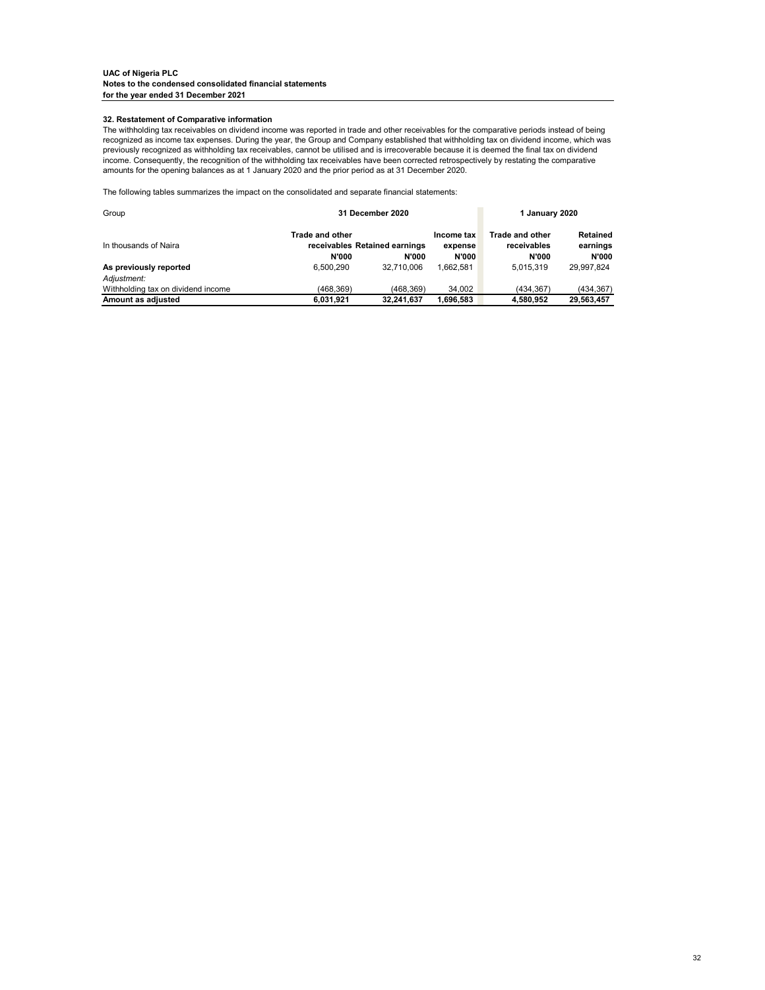#### **32. Restatement of Comparative information**

| Group                              | <b>31 December 2020</b>                                 |              |                       | 1 January 2020                        |                             |
|------------------------------------|---------------------------------------------------------|--------------|-----------------------|---------------------------------------|-----------------------------|
| In thousands of Naira              | <b>Trade and other</b><br>receivables Retained earnings |              | Income tax<br>expense | <b>Trade and other</b><br>receivables | <b>Retained</b><br>earnings |
|                                    | N'000                                                   | <b>N'000</b> | <b>N'000</b>          | <b>N'000</b>                          | <b>N'000</b>                |
| As previously reported             | 6,500,290                                               | 32,710,006   | 1,662,581             | 5,015,319                             | 29,997,824                  |
| Adjustment:                        |                                                         |              |                       |                                       |                             |
| Withholding tax on dividend income | (468, 369)                                              | (468, 369)   | 34,002                | (434, 367)                            | (434, 367)                  |
| Amount as adjusted                 | 6,031,921                                               | 32,241,637   | 1,696,583             | 4,580,952                             | 29,563,457                  |

The withholding tax receivables on dividend income was reported in trade and other receivables for the comparative periods instead of being recognized as income tax expenses. During the year, the Group and Company established that withholding tax on dividend income, which was previously recognized as withholding tax receivables, cannot be utilised and is irrecoverable because it is deemed the final tax on dividend income. Consequently, the recognition of the withholding tax receivables have been corrected retrospectively by restating the comparative amounts for the opening balances as at 1 January 2020 and the prior period as at 31 December 2020.

The following tables summarizes the impact on the consolidated and separate financial statements: